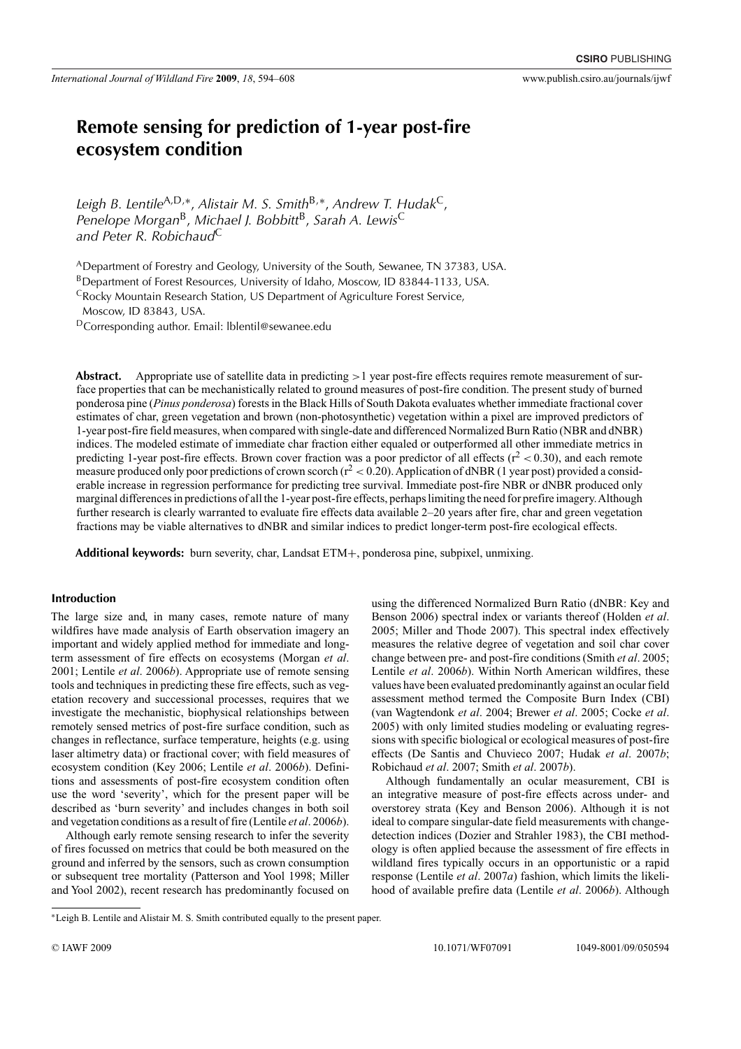# **Remote sensing for prediction of 1-year post-fire ecosystem condition**

*Leigh B. Lentile*A,D,∗, *Alistair M. S. Smith*B,∗, *Andrew T. Hudak*C, *Penelope Morgan*B, *Michael J. Bobbitt*B, *Sarah A. Lewis*<sup>C</sup> *and Peter R. Robichaud*<sup>C</sup>

ADepartment of Forestry and Geology, University of the South, Sewanee, TN 37383, USA.

B<sub>Department of Forest Resources, University of Idaho, Moscow, ID 83844-1133, USA.</sub>

CRocky Mountain Research Station, US Department of Agriculture Forest Service,

Moscow, ID 83843, USA.

DCorresponding author. Email: [lblentil@sewanee.edu](mailto:lblentil@sewanee.edu)

**Abstract.** Appropriate use of satellite data in predicting *>*1 year post-fire effects requires remote measurement of surface properties that can be mechanistically related to ground measures of post-fire condition. The present study of burned ponderosa pine (*Pinus ponderosa*) forests in the Black Hills of South Dakota evaluates whether immediate fractional cover estimates of char, green vegetation and brown (non-photosynthetic) vegetation within a pixel are improved predictors of 1-year post-fire field measures, when compared with single-date and differenced Normalized Burn Ratio (NBR and dNBR) indices. The modeled estimate of immediate char fraction either equaled or outperformed all other immediate metrics in predicting 1-year post-fire effects. Brown cover fraction was a poor predictor of all effects  $(r^2 < 0.30)$ , and each remote measure produced only poor predictions of crown scorch  $(r^2 < 0.20)$ . Application of dNBR (1 year post) provided a considerable increase in regression performance for predicting tree survival. Immediate post-fire NBR or dNBR produced only marginal differences in predictions of all the 1-year post-fire effects, perhaps limiting the need for prefire imagery.Although further research is clearly warranted to evaluate fire effects data available 2–20 years after fire, char and green vegetation fractions may be viable alternatives to dNBR and similar indices to predict longer-term post-fire ecological effects.

**Additional keywords:** burn severity, char, Landsat ETM+, ponderosa pine, subpixel, unmixing.

# **Introduction**

The large size and, in many cases, remote nature of many wildfires have made analysis of Earth observation imagery an important and widely applied method for immediate and longterm assessment of fire effects on ecosystems (Morgan *et al*. 2001; Lentile *et al*. 2006*b*). Appropriate use of remote sensing tools and techniques in predicting these fire effects, such as vegetation recovery and successional processes, requires that we investigate the mechanistic, biophysical relationships between remotely sensed metrics of post-fire surface condition, such as changes in reflectance, surface temperature, heights (e.g. using laser altimetry data) or fractional cover; with field measures of ecosystem condition (Key 2006; Lentile *et al*. 2006*b*). Definitions and assessments of post-fire ecosystem condition often use the word 'severity', which for the present paper will be described as 'burn severity' and includes changes in both soil and vegetation conditions as a result of fire (Lentile *et al*. 2006*b*).

Although early remote sensing research to infer the severity of fires focussed on metrics that could be both measured on the ground and inferred by the sensors, such as crown consumption or subsequent tree mortality (Patterson and Yool 1998; Miller and Yool 2002), recent research has predominantly focused on using the differenced Normalized Burn Ratio (dNBR: Key and Benson 2006) spectral index or variants thereof (Holden *et al*. 2005; Miller and Thode 2007). This spectral index effectively measures the relative degree of vegetation and soil char cover change between pre- and post-fire conditions (Smith *et al*. 2005; Lentile *et al*. 2006*b*). Within North American wildfires, these values have been evaluated predominantly against an ocular field assessment method termed the Composite Burn Index (CBI) (van Wagtendonk *et al*. 2004; Brewer *et al*. 2005; Cocke *et al*. 2005) with only limited studies modeling or evaluating regressions with specific biological or ecological measures of post-fire effects (De Santis and Chuvieco 2007; Hudak *et al*. 2007*b*; Robichaud *et al*. 2007; Smith *et al*. 2007*b*).

Although fundamentally an ocular measurement, CBI is an integrative measure of post-fire effects across under- and overstorey strata (Key and Benson 2006). Although it is not ideal to compare singular-date field measurements with changedetection indices (Dozier and Strahler 1983), the CBI methodology is often applied because the assessment of fire effects in wildland fires typically occurs in an opportunistic or a rapid response (Lentile *et al*. 2007*a*) fashion, which limits the likelihood of available prefire data (Lentile *et al*. 2006*b*). Although

<sup>∗</sup>Leigh B. Lentile and Alistair M. S. Smith contributed equally to the present paper.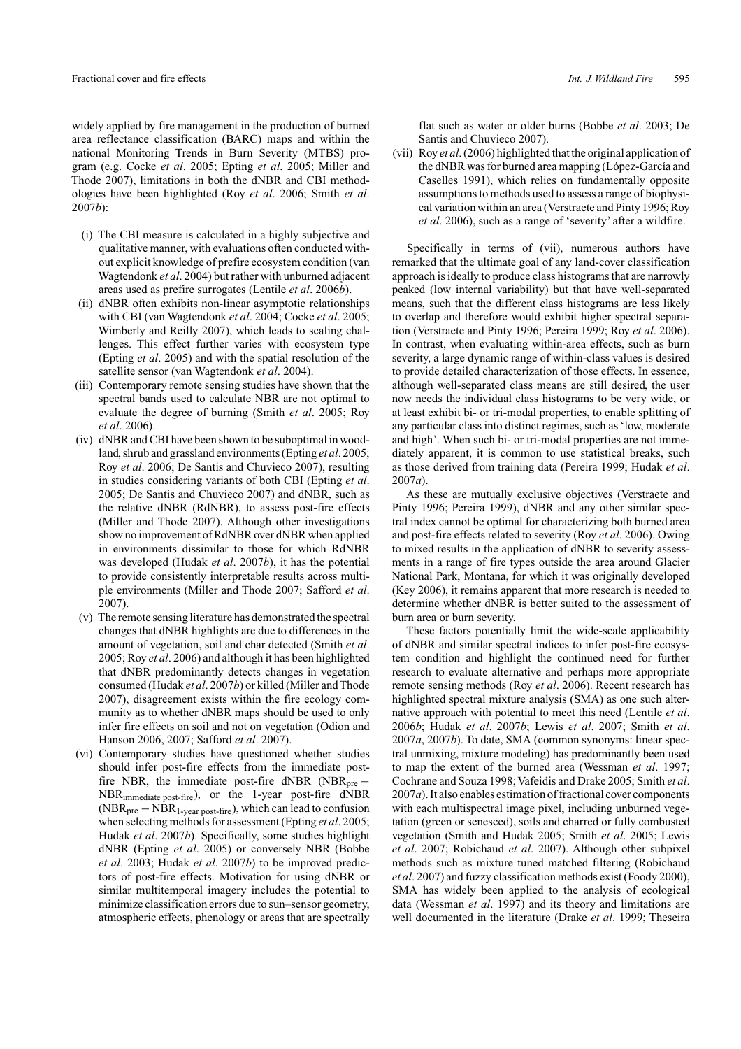widely applied by fire management in the production of burned area reflectance classification (BARC) maps and within the national Monitoring Trends in Burn Severity (MTBS) program (e.g. Cocke *et al*. 2005; Epting *et al*. 2005; Miller and Thode 2007), limitations in both the dNBR and CBI methodologies have been highlighted (Roy *et al*. 2006; Smith *et al*. 2007*b*):

- (i) The CBI measure is calculated in a highly subjective and qualitative manner, with evaluations often conducted without explicit knowledge of prefire ecosystem condition (van Wagtendonk *et al*. 2004) but rather with unburned adjacent areas used as prefire surrogates (Lentile *et al*. 2006*b*).
- (ii) dNBR often exhibits non-linear asymptotic relationships with CBI (van Wagtendonk *et al*. 2004; Cocke *et al*. 2005; Wimberly and Reilly 2007), which leads to scaling challenges. This effect further varies with ecosystem type (Epting *et al*. 2005) and with the spatial resolution of the satellite sensor (van Wagtendonk *et al*. 2004).
- (iii) Contemporary remote sensing studies have shown that the spectral bands used to calculate NBR are not optimal to evaluate the degree of burning (Smith *et al*. 2005; Roy *et al*. 2006).
- (iv) dNBR and CBI have been shown to be suboptimal in woodland, shrub and grassland environments (Epting *et al*. 2005; Roy *et al*. 2006; De Santis and Chuvieco 2007), resulting in studies considering variants of both CBI (Epting *et al*. 2005; De Santis and Chuvieco 2007) and dNBR, such as the relative dNBR (RdNBR), to assess post-fire effects (Miller and Thode 2007). Although other investigations show no improvement of RdNBR over dNBR when applied in environments dissimilar to those for which RdNBR was developed (Hudak *et al*. 2007*b*), it has the potential to provide consistently interpretable results across multiple environments (Miller and Thode 2007; Safford *et al*. 2007).
- (v) The remote sensing literature has demonstrated the spectral changes that dNBR highlights are due to differences in the amount of vegetation, soil and char detected (Smith *et al*. 2005; Roy *et al*. 2006) and although it has been highlighted that dNBR predominantly detects changes in vegetation consumed (Hudak et al. 2007b) or killed (Miller and Thode 2007), disagreement exists within the fire ecology community as to whether dNBR maps should be used to only infer fire effects on soil and not on vegetation (Odion and Hanson 2006, 2007; Safford *et al*. 2007).
- (vi) Contemporary studies have questioned whether studies should infer post-fire effects from the immediate postfire NBR, the immediate post-fire dNBR (NBR<sub>pre</sub> – NBRimmediate post-fire), or the 1-year post-fire dNBR  $(NBR<sub>pre</sub> - NBR<sub>1-year post-fire</sub>)$ , which can lead to confusion when selecting methods for assessment (Epting *et al*. 2005; Hudak *et al*. 2007*b*). Specifically, some studies highlight dNBR (Epting *et al*. 2005) or conversely NBR (Bobbe *et al*. 2003; Hudak *et al*. 2007*b*) to be improved predictors of post-fire effects. Motivation for using dNBR or similar multitemporal imagery includes the potential to minimize classification errors due to sun–sensor geometry, atmospheric effects, phenology or areas that are spectrally

flat such as water or older burns (Bobbe *et al*. 2003; De Santis and Chuvieco 2007).

(vii) Roy *et al*. (2006) highlighted that the original application of the dNBR was for burned area mapping (López-García and Caselles 1991), which relies on fundamentally opposite assumptions to methods used to assess a range of biophysical variation within an area (Verstraete and Pinty 1996; Roy *et al*. 2006), such as a range of 'severity' after a wildfire.

Specifically in terms of (vii), numerous authors have remarked that the ultimate goal of any land-cover classification approach is ideally to produce class histograms that are narrowly peaked (low internal variability) but that have well-separated means, such that the different class histograms are less likely to overlap and therefore would exhibit higher spectral separation (Verstraete and Pinty 1996; Pereira 1999; Roy *et al*. 2006). In contrast, when evaluating within-area effects, such as burn severity, a large dynamic range of within-class values is desired to provide detailed characterization of those effects. In essence, although well-separated class means are still desired, the user now needs the individual class histograms to be very wide, or at least exhibit bi- or tri-modal properties, to enable splitting of any particular class into distinct regimes, such as 'low, moderate and high'. When such bi- or tri-modal properties are not immediately apparent, it is common to use statistical breaks, such as those derived from training data (Pereira 1999; Hudak *et al*. 2007*a*).

As these are mutually exclusive objectives (Verstraete and Pinty 1996; Pereira 1999), dNBR and any other similar spectral index cannot be optimal for characterizing both burned area and post-fire effects related to severity (Roy *et al*. 2006). Owing to mixed results in the application of dNBR to severity assessments in a range of fire types outside the area around Glacier National Park, Montana, for which it was originally developed (Key 2006), it remains apparent that more research is needed to determine whether dNBR is better suited to the assessment of burn area or burn severity.

These factors potentially limit the wide-scale applicability of dNBR and similar spectral indices to infer post-fire ecosystem condition and highlight the continued need for further research to evaluate alternative and perhaps more appropriate remote sensing methods (Roy *et al*. 2006). Recent research has highlighted spectral mixture analysis (SMA) as one such alternative approach with potential to meet this need (Lentile *et al*. 2006*b*; Hudak *et al*. 2007*b*; Lewis *et al*. 2007; Smith *et al*. 2007*a*, 2007*b*). To date, SMA (common synonyms: linear spectral unmixing, mixture modeling) has predominantly been used to map the extent of the burned area (Wessman *et al*. 1997; Cochrane and Souza 1998; Vafeidis and Drake 2005; Smith et al. 2007*a*). It also enables estimation of fractional cover components with each multispectral image pixel, including unburned vegetation (green or senesced), soils and charred or fully combusted vegetation (Smith and Hudak 2005; Smith *et al*. 2005; Lewis *et al*. 2007; Robichaud *et al*. 2007). Although other subpixel methods such as mixture tuned matched filtering (Robichaud *et al*. 2007) and fuzzy classification methods exist (Foody 2000), SMA has widely been applied to the analysis of ecological data (Wessman *et al*. 1997) and its theory and limitations are well documented in the literature (Drake *et al*. 1999; Theseira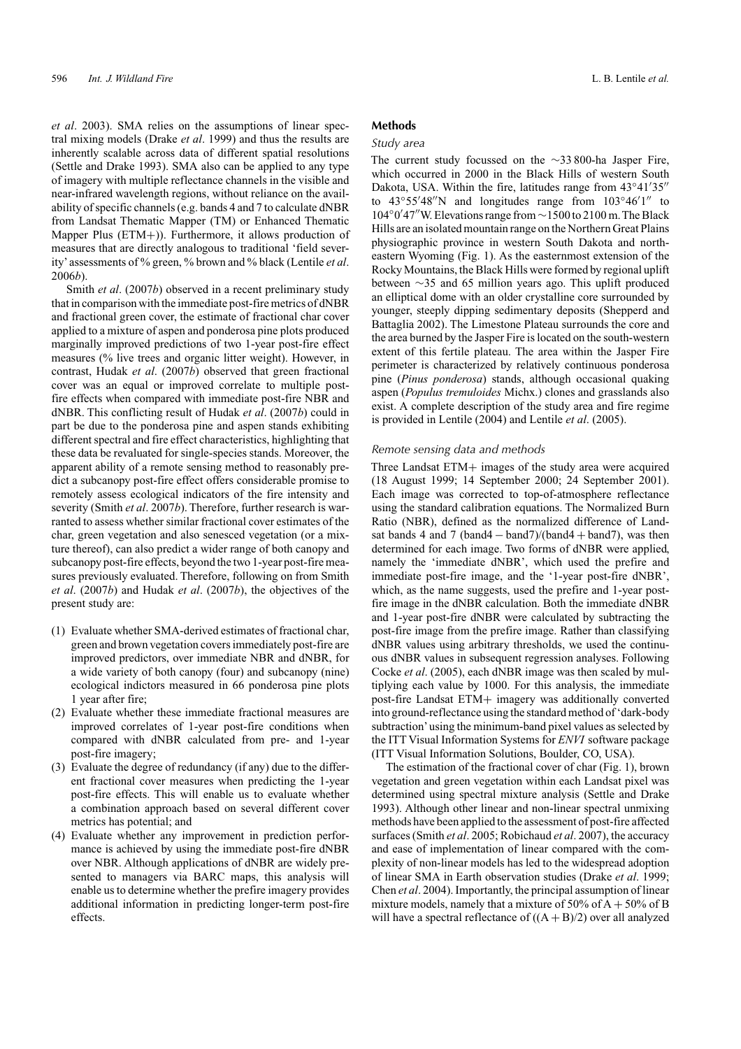*et al*. 2003). SMA relies on the assumptions of linear spectral mixing models (Drake *et al*. 1999) and thus the results are inherently scalable across data of different spatial resolutions (Settle and Drake 1993). SMA also can be applied to any type of imagery with multiple reflectance channels in the visible and near-infrared wavelength regions, without reliance on the availability of specific channels (e.g. bands 4 and 7 to calculate dNBR from Landsat Thematic Mapper (TM) or Enhanced Thematic Mapper Plus (ETM+)). Furthermore, it allows production of measures that are directly analogous to traditional 'field severity'assessments of % green, % brown and % black (Lentile *et al*. 2006*b*).

Smith *et al*. (2007*b*) observed in a recent preliminary study that in comparison with the immediate post-fire metrics of dNBR and fractional green cover, the estimate of fractional char cover applied to a mixture of aspen and ponderosa pine plots produced marginally improved predictions of two 1-year post-fire effect measures (% live trees and organic litter weight). However, in contrast, Hudak *et al*. (2007*b*) observed that green fractional cover was an equal or improved correlate to multiple postfire effects when compared with immediate post-fire NBR and dNBR. This conflicting result of Hudak *et al*. (2007*b*) could in part be due to the ponderosa pine and aspen stands exhibiting different spectral and fire effect characteristics, highlighting that these data be revaluated for single-species stands. Moreover, the apparent ability of a remote sensing method to reasonably predict a subcanopy post-fire effect offers considerable promise to remotely assess ecological indicators of the fire intensity and severity (Smith *et al*. 2007*b*). Therefore, further research is warranted to assess whether similar fractional cover estimates of the char, green vegetation and also senesced vegetation (or a mixture thereof), can also predict a wider range of both canopy and subcanopy post-fire effects, beyond the two 1-year post-fire measures previously evaluated. Therefore, following on from Smith *et al*. (2007*b*) and Hudak *et al*. (2007*b*), the objectives of the present study are:

- (1) Evaluate whether SMA-derived estimates of fractional char, green and brown vegetation covers immediately post-fire are improved predictors, over immediate NBR and dNBR, for a wide variety of both canopy (four) and subcanopy (nine) ecological indictors measured in 66 ponderosa pine plots 1 year after fire;
- (2) Evaluate whether these immediate fractional measures are improved correlates of 1-year post-fire conditions when compared with dNBR calculated from pre- and 1-year post-fire imagery;
- (3) Evaluate the degree of redundancy (if any) due to the different fractional cover measures when predicting the 1-year post-fire effects. This will enable us to evaluate whether a combination approach based on several different cover metrics has potential; and
- (4) Evaluate whether any improvement in prediction performance is achieved by using the immediate post-fire dNBR over NBR. Although applications of dNBR are widely presented to managers via BARC maps, this analysis will enable us to determine whether the prefire imagery provides additional information in predicting longer-term post-fire effects.

### **Methods**

### *Study area*

The current study focussed on the ∼33 800-ha Jasper Fire, which occurred in 2000 in the Black Hills of western South Dakota, USA. Within the fire, latitudes range from 43°41'35" to  $43^{\circ}55'48''N$  and longitudes range from  $103^{\circ}46'1''$  to 104◦0 47W. Elevations range from∼1500 to 2100 m.The Black Hills are an isolated mountain range on the Northern Great Plains physiographic province in western South Dakota and northeastern Wyoming (Fig. 1). As the easternmost extension of the Rocky Mountains, the Black Hills were formed by regional uplift between ∼35 and 65 million years ago. This uplift produced an elliptical dome with an older crystalline core surrounded by younger, steeply dipping sedimentary deposits (Shepperd and Battaglia 2002). The Limestone Plateau surrounds the core and the area burned by the Jasper Fire is located on the south-western extent of this fertile plateau. The area within the Jasper Fire perimeter is characterized by relatively continuous ponderosa pine (*Pinus ponderosa*) stands, although occasional quaking aspen (*Populus tremuloides* Michx.) clones and grasslands also exist. A complete description of the study area and fire regime is provided in Lentile (2004) and Lentile *et al*. (2005).

# *Remote sensing data and methods*

Three Landsat ETM+ images of the study area were acquired (18 August 1999; 14 September 2000; 24 September 2001). Each image was corrected to top-of-atmosphere reflectance using the standard calibration equations. The Normalized Burn Ratio (NBR), defined as the normalized difference of Landsat bands 4 and 7 (band4  $-$  band7)/(band4  $+$  band7), was then determined for each image. Two forms of dNBR were applied, namely the 'immediate dNBR', which used the prefire and immediate post-fire image, and the '1-year post-fire dNBR', which, as the name suggests, used the prefire and 1-year postfire image in the dNBR calculation. Both the immediate dNBR and 1-year post-fire dNBR were calculated by subtracting the post-fire image from the prefire image. Rather than classifying dNBR values using arbitrary thresholds, we used the continuous dNBR values in subsequent regression analyses. Following Cocke *et al*. (2005), each dNBR image was then scaled by multiplying each value by 1000. For this analysis, the immediate post-fire Landsat ETM+ imagery was additionally converted into ground-reflectance using the standard method of 'dark-body subtraction'using the minimum-band pixel values as selected by the ITT Visual Information Systems for *ENVI* software package (ITT Visual Information Solutions, Boulder, CO, USA).

The estimation of the fractional cover of char (Fig. 1), brown vegetation and green vegetation within each Landsat pixel was determined using spectral mixture analysis (Settle and Drake 1993). Although other linear and non-linear spectral unmixing methods have been applied to the assessment of post-fire affected surfaces (Smith *et al*. 2005; Robichaud *et al*. 2007), the accuracy and ease of implementation of linear compared with the complexity of non-linear models has led to the widespread adoption of linear SMA in Earth observation studies (Drake *et al*. 1999; Chen *et al*. 2004). Importantly, the principal assumption of linear mixture models, namely that a mixture of 50% of  $A + 50%$  of B will have a spectral reflectance of  $((A + B)/2)$  over all analyzed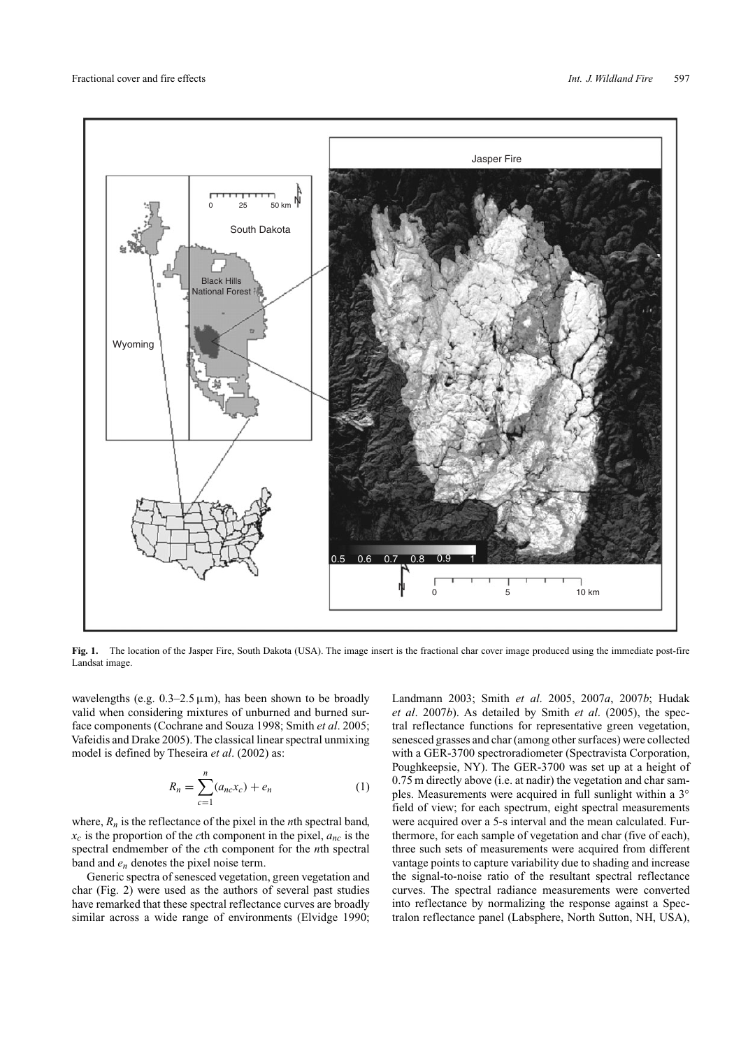

**Fig. 1.** The location of the Jasper Fire, South Dakota (USA). The image insert is the fractional char cover image produced using the immediate post-fire Landsat image.

wavelengths (e.g.  $0.3-2.5 \,\mu\text{m}$ ), has been shown to be broadly valid when considering mixtures of unburned and burned surface components (Cochrane and Souza 1998; Smith *et al*. 2005; Vafeidis and Drake 2005). The classical linear spectral unmixing model is defined by Theseira *et al*. (2002) as:

$$
R_n = \sum_{c=1}^n (a_{nc}x_c) + e_n
$$
 (1)

where,  $R_n$  is the reflectance of the pixel in the *n*th spectral band, *xc* is the proportion of the *c*th component in the pixel, *anc* is the spectral endmember of the *c*th component for the *n*th spectral band and *en* denotes the pixel noise term.

Generic spectra of senesced vegetation, green vegetation and char (Fig. 2) were used as the authors of several past studies have remarked that these spectral reflectance curves are broadly similar across a wide range of environments (Elvidge 1990; Landmann 2003; Smith *et al*. 2005, 2007*a*, 2007*b*; Hudak *et al*. 2007*b*). As detailed by Smith *et al*. (2005), the spectral reflectance functions for representative green vegetation, senesced grasses and char (among other surfaces) were collected with a GER-3700 spectroradiometer (Spectravista Corporation, Poughkeepsie, NY). The GER-3700 was set up at a height of 0.75 m directly above (i.e. at nadir) the vegetation and char samples. Measurements were acquired in full sunlight within a 3◦ field of view; for each spectrum, eight spectral measurements were acquired over a 5-s interval and the mean calculated. Furthermore, for each sample of vegetation and char (five of each), three such sets of measurements were acquired from different vantage points to capture variability due to shading and increase the signal-to-noise ratio of the resultant spectral reflectance curves. The spectral radiance measurements were converted into reflectance by normalizing the response against a Spectralon reflectance panel (Labsphere, North Sutton, NH, USA),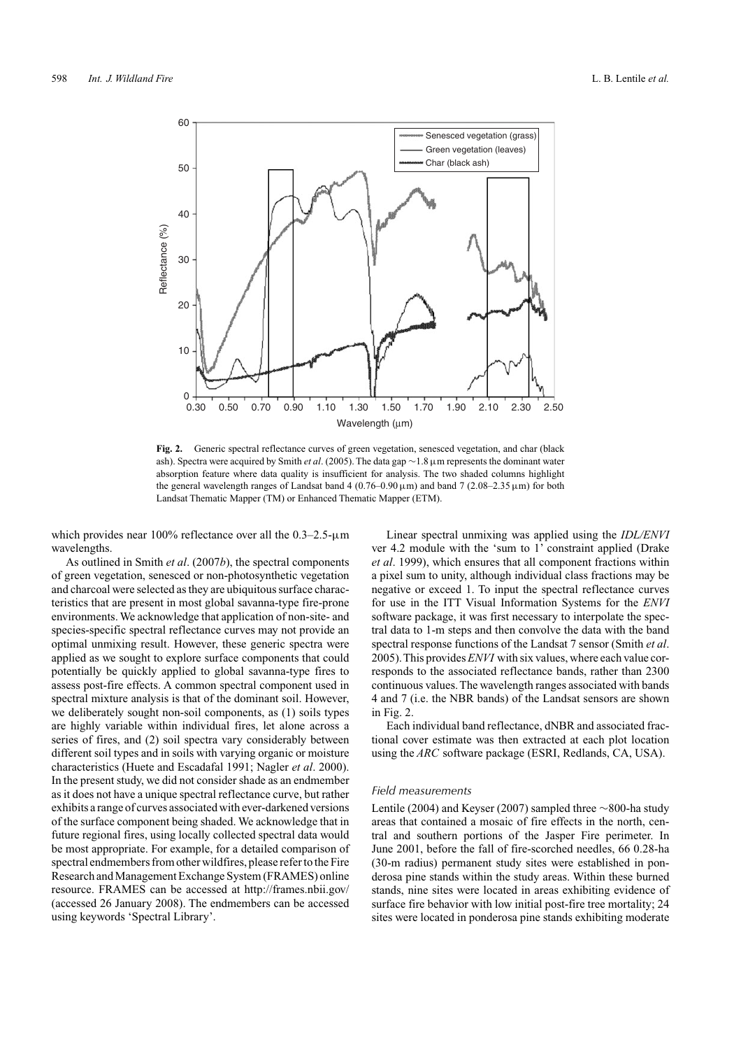

**Fig. 2.** Generic spectral reflectance curves of green vegetation, senesced vegetation, and char (black ash). Spectra were acquired by Smith *et al*. (2005). The data gap ∼1.8µm represents the dominant water absorption feature where data quality is insufficient for analysis. The two shaded columns highlight the general wavelength ranges of Landsat band 4 (0.76–0.90  $\mu$ m) and band 7 (2.08–2.35  $\mu$ m) for both Landsat Thematic Mapper (TM) or Enhanced Thematic Mapper (ETM).

which provides near 100% reflectance over all the  $0.3-2.5$ - $\mu$ m wavelengths.

As outlined in Smith *et al*. (2007*b*), the spectral components of green vegetation, senesced or non-photosynthetic vegetation and charcoal were selected as they are ubiquitous surface characteristics that are present in most global savanna-type fire-prone environments. We acknowledge that application of non-site- and species-specific spectral reflectance curves may not provide an optimal unmixing result. However, these generic spectra were applied as we sought to explore surface components that could potentially be quickly applied to global savanna-type fires to assess post-fire effects. A common spectral component used in spectral mixture analysis is that of the dominant soil. However, we deliberately sought non-soil components, as (1) soils types are highly variable within individual fires, let alone across a series of fires, and (2) soil spectra vary considerably between different soil types and in soils with varying organic or moisture characteristics (Huete and Escadafal 1991; Nagler *et al*. 2000). In the present study, we did not consider shade as an endmember as it does not have a unique spectral reflectance curve, but rather exhibits a range of curves associated with ever-darkened versions of the surface component being shaded. We acknowledge that in future regional fires, using locally collected spectral data would be most appropriate. For example, for a detailed comparison of spectral endmembers from other wildfires, please refer to the Fire Research and Management Exchange System (FRAMES) online resource. FRAMES can be accessed at [http://frames.nbii.gov/](http://frames.nbii.gov/(accessed 26 January 2008)) [\(accessed 26 January 2008\)](http://frames.nbii.gov/(accessed 26 January 2008)). The endmembers can be accessed using keywords 'Spectral Library'.

Linear spectral unmixing was applied using the *IDL/ENVI* ver 4.2 module with the 'sum to 1' constraint applied (Drake *et al*. 1999), which ensures that all component fractions within a pixel sum to unity, although individual class fractions may be negative or exceed 1. To input the spectral reflectance curves for use in the ITT Visual Information Systems for the *ENVI* software package, it was first necessary to interpolate the spectral data to 1-m steps and then convolve the data with the band spectral response functions of the Landsat 7 sensor (Smith *et al*. 2005).This provides*ENVI* with six values, where each value corresponds to the associated reflectance bands, rather than 2300 continuous values. The wavelength ranges associated with bands 4 and 7 (i.e. the NBR bands) of the Landsat sensors are shown in Fig. 2.

Each individual band reflectance, dNBR and associated fractional cover estimate was then extracted at each plot location using the *ARC* software package (ESRI, Redlands, CA, USA).

# *Field measurements*

Lentile (2004) and Keyser (2007) sampled three ∼800-ha study areas that contained a mosaic of fire effects in the north, central and southern portions of the Jasper Fire perimeter. In June 2001, before the fall of fire-scorched needles, 66 0.28-ha (30-m radius) permanent study sites were established in ponderosa pine stands within the study areas. Within these burned stands, nine sites were located in areas exhibiting evidence of surface fire behavior with low initial post-fire tree mortality; 24 sites were located in ponderosa pine stands exhibiting moderate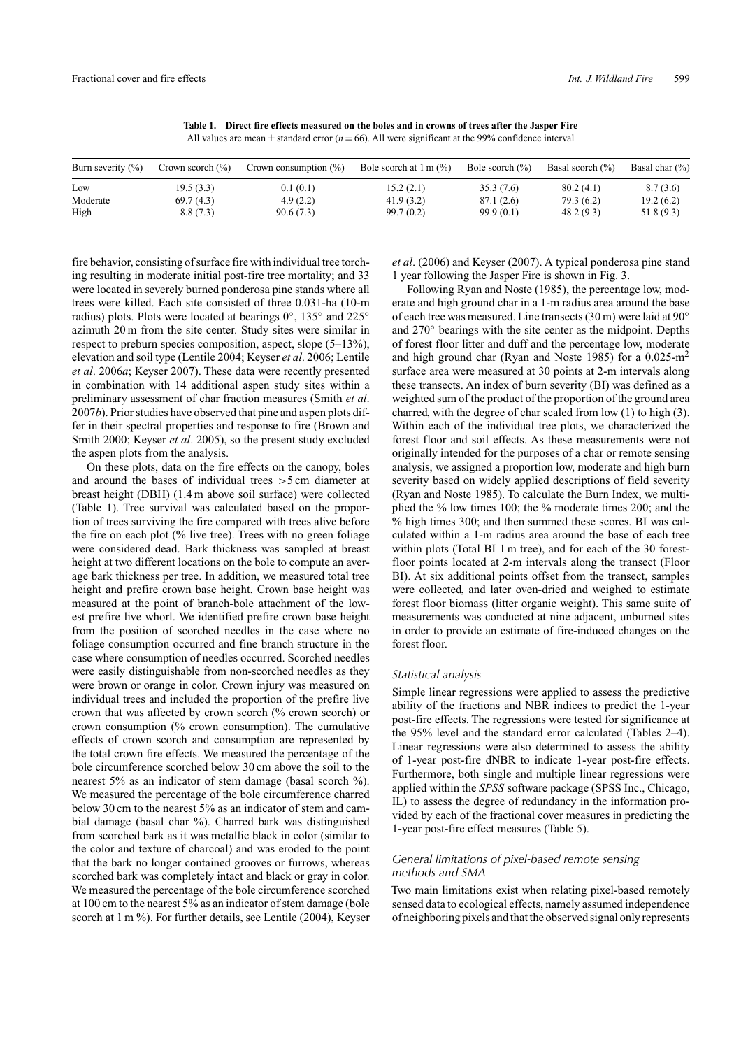| Table 1. Direct fire effects measured on the boles and in crowns of trees after the Jasper Fire            |  |
|------------------------------------------------------------------------------------------------------------|--|
| All values are mean $\pm$ standard error ( $n = 66$ ). All were significant at the 99% confidence interval |  |

| Burn severity $(\% )$ | Crown scorch $(\% )$ | Crown consumption $(\%)$ | Bole scorch at $1 \text{ m}$ (%) | Bole scorch (%) | Basal scorch (%) | Basal char $(\% )$ |
|-----------------------|----------------------|--------------------------|----------------------------------|-----------------|------------------|--------------------|
| Low                   | 19.5(3.3)            | 0.1(0.1)                 | 15.2(2.1)                        | 35.3(7.6)       | 80.2(4.1)        | 8.7(3.6)           |
| Moderate              | 69.7(4.3)            | 4.9(2.2)                 | 41.9(3.2)                        | 87.1(2.6)       | 79.3(6.2)        | 19.2(6.2)          |
| High                  | 8.8(7.3)             | 90.6(7.3)                | 99.7(0.2)                        | 99.9(0.1)       | 48.2(9.3)        | 51.8(9.3)          |

fire behavior, consisting of surface fire with individual tree torching resulting in moderate initial post-fire tree mortality; and 33 were located in severely burned ponderosa pine stands where all trees were killed. Each site consisted of three 0.031-ha (10-m radius) plots. Plots were located at bearings 0◦, 135◦ and 225◦ azimuth 20 m from the site center. Study sites were similar in respect to preburn species composition, aspect, slope (5–13%), elevation and soil type (Lentile 2004; Keyser *et al*. 2006; Lentile *et al*. 2006*a*; Keyser 2007). These data were recently presented in combination with 14 additional aspen study sites within a preliminary assessment of char fraction measures (Smith *et al*. 2007*b*). Prior studies have observed that pine and aspen plots differ in their spectral properties and response to fire (Brown and Smith 2000; Keyser *et al*. 2005), so the present study excluded the aspen plots from the analysis.

On these plots, data on the fire effects on the canopy, boles and around the bases of individual trees *>*5 cm diameter at breast height (DBH) (1.4 m above soil surface) were collected (Table 1). Tree survival was calculated based on the proportion of trees surviving the fire compared with trees alive before the fire on each plot (% live tree). Trees with no green foliage were considered dead. Bark thickness was sampled at breast height at two different locations on the bole to compute an average bark thickness per tree. In addition, we measured total tree height and prefire crown base height. Crown base height was measured at the point of branch-bole attachment of the lowest prefire live whorl. We identified prefire crown base height from the position of scorched needles in the case where no foliage consumption occurred and fine branch structure in the case where consumption of needles occurred. Scorched needles were easily distinguishable from non-scorched needles as they were brown or orange in color. Crown injury was measured on individual trees and included the proportion of the prefire live crown that was affected by crown scorch (% crown scorch) or crown consumption (% crown consumption). The cumulative effects of crown scorch and consumption are represented by the total crown fire effects. We measured the percentage of the bole circumference scorched below 30 cm above the soil to the nearest 5% as an indicator of stem damage (basal scorch %). We measured the percentage of the bole circumference charred below 30 cm to the nearest 5% as an indicator of stem and cambial damage (basal char %). Charred bark was distinguished from scorched bark as it was metallic black in color (similar to the color and texture of charcoal) and was eroded to the point that the bark no longer contained grooves or furrows, whereas scorched bark was completely intact and black or gray in color. We measured the percentage of the bole circumference scorched at 100 cm to the nearest 5% as an indicator of stem damage (bole scorch at 1 m %). For further details, see Lentile (2004), Keyser *et al*. (2006) and Keyser (2007). A typical ponderosa pine stand 1 year following the Jasper Fire is shown in Fig. 3.

Following Ryan and Noste (1985), the percentage low, moderate and high ground char in a 1-m radius area around the base of each tree was measured. Line transects (30 m) were laid at 90◦ and 270◦ bearings with the site center as the midpoint. Depths of forest floor litter and duff and the percentage low, moderate and high ground char (Ryan and Noste 1985) for a 0.025-m<sup>2</sup> surface area were measured at 30 points at 2-m intervals along these transects. An index of burn severity (BI) was defined as a weighted sum of the product of the proportion of the ground area charred, with the degree of char scaled from low (1) to high (3). Within each of the individual tree plots, we characterized the forest floor and soil effects. As these measurements were not originally intended for the purposes of a char or remote sensing analysis, we assigned a proportion low, moderate and high burn severity based on widely applied descriptions of field severity (Ryan and Noste 1985). To calculate the Burn Index, we multiplied the % low times 100; the % moderate times 200; and the % high times 300; and then summed these scores. BI was calculated within a 1-m radius area around the base of each tree within plots (Total BI 1 m tree), and for each of the 30 forestfloor points located at 2-m intervals along the transect (Floor BI). At six additional points offset from the transect, samples were collected, and later oven-dried and weighed to estimate forest floor biomass (litter organic weight). This same suite of measurements was conducted at nine adjacent, unburned sites in order to provide an estimate of fire-induced changes on the forest floor.

#### *Statistical analysis*

Simple linear regressions were applied to assess the predictive ability of the fractions and NBR indices to predict the 1-year post-fire effects. The regressions were tested for significance at the 95% level and the standard error calculated (Tables 2–4). Linear regressions were also determined to assess the ability of 1-year post-fire dNBR to indicate 1-year post-fire effects. Furthermore, both single and multiple linear regressions were applied within the *SPSS* software package (SPSS Inc., Chicago, IL) to assess the degree of redundancy in the information provided by each of the fractional cover measures in predicting the 1-year post-fire effect measures (Table 5).

### *General limitations of pixel-based remote sensing methods and SMA*

Two main limitations exist when relating pixel-based remotely sensed data to ecological effects, namely assumed independence of neighboring pixels and that the observed signal only represents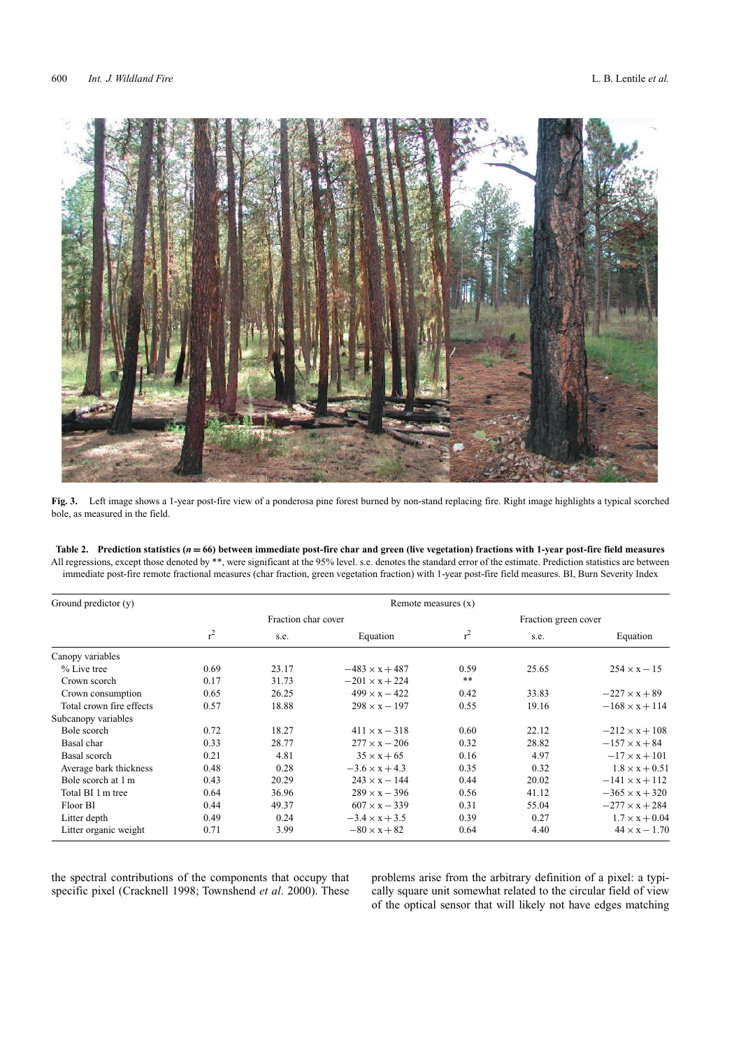

**Fig. 3.** Left image shows a 1-year post-fire view of a ponderosa pine forest burned by non-stand replacing fire. Right image highlights a typical scorched bole, as measured in the field.

**Table 2. Prediction statistics (***n* **= 66) between immediate post-fire char and green (live vegetation) fractions with 1-year post-fire field measures** All regressions, except those denoted by \*\*, were significant at the 95% level. s.e. denotes the standard error of the estimate. Prediction statistics are between immediate post-fire remote fractional measures (char fraction, green vegetation fraction) with 1-year post-fire field measures. BI, Burn Severity Index

| Ground predictor $(y)$   |       |                     | Remote measures $(x)$ |           |                      |                       |  |
|--------------------------|-------|---------------------|-----------------------|-----------|----------------------|-----------------------|--|
|                          |       | Fraction char cover |                       |           | Fraction green cover |                       |  |
|                          | $r^2$ | s.e.                | Equation              | $\rm r^2$ | s.e.                 | Equation              |  |
| Canopy variables         |       |                     |                       |           |                      |                       |  |
| $%$ Live tree            | 0.69  | 23.17               | $-483 \times x + 487$ | 0.59      | 25.65                | $254 \times x - 15$   |  |
| Crown scorch             | 0.17  | 31.73               | $-201 \times x + 224$ | $***$     |                      |                       |  |
| Crown consumption        | 0.65  | 26.25               | $499 \times x - 422$  | 0.42      | 33.83                | $-227 \times x + 89$  |  |
| Total crown fire effects | 0.57  | 18.88               | $298 \times x - 197$  | 0.55      | 19.16                | $-168 \times x + 114$ |  |
| Subcanopy variables      |       |                     |                       |           |                      |                       |  |
| Bole scorch              | 0.72  | 18.27               | $411 \times x - 318$  | 0.60      | 22.12                | $-212 \times x + 108$ |  |
| Basal char               | 0.33  | 28.77               | $277 \times x - 206$  | 0.32      | 28.82                | $-157 \times x + 84$  |  |
| Basal scorch             | 0.21  | 4.81                | $35 \times x + 65$    | 0.16      | 4.97                 | $-17 \times x + 101$  |  |
| Average bark thickness   | 0.48  | 0.28                | $-3.6 \times x + 4.3$ | 0.35      | 0.32                 | $1.8 \times x + 0.51$ |  |
| Bole scorch at 1 m       | 0.43  | 20.29               | $243 \times x - 144$  | 0.44      | 20.02                | $-141 \times x + 112$ |  |
| Total BI 1 m tree        | 0.64  | 36.96               | $289 \times x - 396$  | 0.56      | 41.12                | $-365 \times x + 320$ |  |
| Floor BI                 | 0.44  | 49.37               | $607 \times x - 339$  | 0.31      | 55.04                | $-277 \times x + 284$ |  |
| Litter depth             | 0.49  | 0.24                | $-3.4 \times x + 3.5$ | 0.39      | 0.27                 | $1.7 \times x + 0.04$ |  |
| Litter organic weight    | 0.71  | 3.99                | $-80 \times x + 82$   | 0.64      | 4.40                 | $44 \times x - 1.70$  |  |

the spectral contributions of the components that occupy that specific pixel (Cracknell 1998; Townshend *et al*. 2000). These

problems arise from the arbitrary definition of a pixel: a typically square unit somewhat related to the circular field of view of the optical sensor that will likely not have edges matching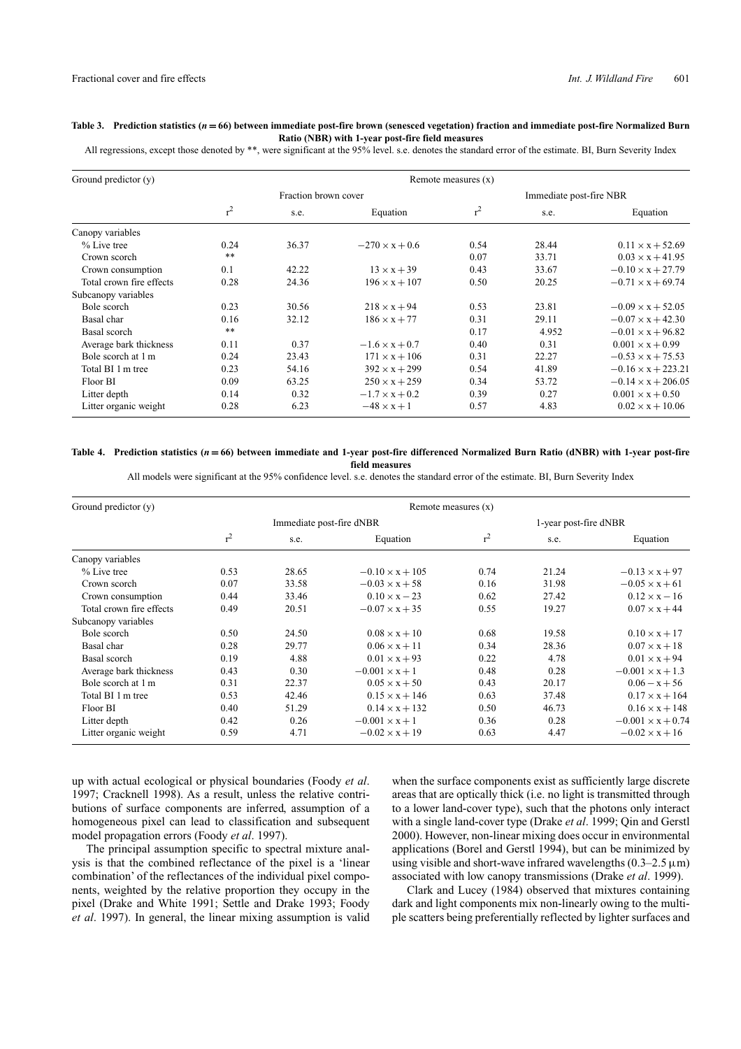#### **Table 3. Prediction statistics (***n* **= 66) between immediate post-fire brown (senesced vegetation) fraction and immediate post-fire Normalized Burn Ratio (NBR) with 1-year post-fire field measures**

All regressions, except those denoted by \*\*, were significant at the 95% level. s.e. denotes the standard error of the estimate. BI, Burn Severity Index

| Ground predictor (y)     |                      | Remote measures $(x)$ |                       |                         |       |                           |  |
|--------------------------|----------------------|-----------------------|-----------------------|-------------------------|-------|---------------------------|--|
|                          | Fraction brown cover |                       |                       | Immediate post-fire NBR |       |                           |  |
|                          | $r^2$                | s.e.                  | Equation              | $r^2$                   | s.e.  | Equation                  |  |
| Canopy variables         |                      |                       |                       |                         |       |                           |  |
| $%$ Live tree            | 0.24                 | 36.37                 | $-270 \times x + 0.6$ | 0.54                    | 28.44 | $0.11 \times x + 52.69$   |  |
| Crown scorch             | $**$                 |                       |                       | 0.07                    | 33.71 | $0.03 \times x + 41.95$   |  |
| Crown consumption        | 0.1                  | 42.22                 | $13 \times x + 39$    | 0.43                    | 33.67 | $-0.10 \times x + 27.79$  |  |
| Total crown fire effects | 0.28                 | 24.36                 | $196 \times x + 107$  | 0.50                    | 20.25 | $-0.71 \times x + 69.74$  |  |
| Subcanopy variables      |                      |                       |                       |                         |       |                           |  |
| Bole scorch              | 0.23                 | 30.56                 | $218 \times x + 94$   | 0.53                    | 23.81 | $-0.09 \times x + 52.05$  |  |
| Basal char               | 0.16                 | 32.12                 | $186 \times x + 77$   | 0.31                    | 29.11 | $-0.07 \times x + 42.30$  |  |
| Basal scorch             | $**$                 |                       |                       | 0.17                    | 4.952 | $-0.01 \times x + 96.82$  |  |
| Average bark thickness   | 0.11                 | 0.37                  | $-1.6 \times x + 0.7$ | 0.40                    | 0.31  | $0.001 \times x + 0.99$   |  |
| Bole scorch at 1 m       | 0.24                 | 23.43                 | $171 \times x + 106$  | 0.31                    | 22.27 | $-0.53 \times x + 75.53$  |  |
| Total BI 1 m tree        | 0.23                 | 54.16                 | $392 \times x + 299$  | 0.54                    | 41.89 | $-0.16 \times x + 223.21$ |  |
| Floor BI                 | 0.09                 | 63.25                 | $250 \times x + 259$  | 0.34                    | 53.72 | $-0.14 \times x + 206.05$ |  |
| Litter depth             | 0.14                 | 0.32                  | $-1.7 \times x + 0.2$ | 0.39                    | 0.27  | $0.001 \times x + 0.50$   |  |
| Litter organic weight    | 0.28                 | 6.23                  | $-48 \times x + 1$    | 0.57                    | 4.83  | $0.02 \times x + 10.06$   |  |

#### **Table 4. Prediction statistics (***n* **= 66) between immediate and 1-year post-fire differenced Normalized Burn Ratio (dNBR) with 1-year post-fire field measures**

All models were significant at the 95% confidence level. s.e. denotes the standard error of the estimate. BI, Burn Severity Index

| Ground predictor (y)     |       |                          | Remote measures $(x)$  |                       |       |                          |
|--------------------------|-------|--------------------------|------------------------|-----------------------|-------|--------------------------|
|                          |       | Immediate post-fire dNBR |                        | 1-year post-fire dNBR |       |                          |
|                          | $r^2$ | s.e.                     | Equation               | $r^2$                 | s.e.  | Equation                 |
| Canopy variables         |       |                          |                        |                       |       |                          |
| % Live tree              | 0.53  | 28.65                    | $-0.10 \times x + 105$ | 0.74                  | 21.24 | $-0.13 \times x + 97$    |
| Crown scorch             | 0.07  | 33.58                    | $-0.03 \times x + 58$  | 0.16                  | 31.98 | $-0.05 \times x + 61$    |
| Crown consumption        | 0.44  | 33.46                    | $0.10 \times x - 23$   | 0.62                  | 27.42 | $0.12 \times x - 16$     |
| Total crown fire effects | 0.49  | 20.51                    | $-0.07 \times x + 35$  | 0.55                  | 19.27 | $0.07 \times x + 44$     |
| Subcanopy variables      |       |                          |                        |                       |       |                          |
| Bole scorch              | 0.50  | 24.50                    | $0.08 \times x + 10$   | 0.68                  | 19.58 | $0.10 \times x + 17$     |
| Basal char               | 0.28  | 29.77                    | $0.06 \times x + 11$   | 0.34                  | 28.36 | $0.07 \times x + 18$     |
| Basal scorch             | 0.19  | 4.88                     | $0.01 \times x + 93$   | 0.22                  | 4.78  | $0.01 \times x + 94$     |
| Average bark thickness   | 0.43  | 0.30                     | $-0.001 \times x + 1$  | 0.48                  | 0.28  | $-0.001 \times x + 1.3$  |
| Bole scorch at 1 m       | 0.31  | 22.37                    | $0.05 \times x + 50$   | 0.43                  | 20.17 | $0.06 - x + 56$          |
| Total BI 1 m tree        | 0.53  | 42.46                    | $0.15 \times x + 146$  | 0.63                  | 37.48 | $0.17 \times x + 164$    |
| Floor BI                 | 0.40  | 51.29                    | $0.14 \times x + 132$  | 0.50                  | 46.73 | $0.16 \times x + 148$    |
| Litter depth             | 0.42  | 0.26                     | $-0.001 \times x + 1$  | 0.36                  | 0.28  | $-0.001 \times x + 0.74$ |
| Litter organic weight    | 0.59  | 4.71                     | $-0.02 \times x + 19$  | 0.63                  | 4.47  | $-0.02 \times x + 16$    |

up with actual ecological or physical boundaries (Foody *et al*. 1997; Cracknell 1998). As a result, unless the relative contributions of surface components are inferred, assumption of a homogeneous pixel can lead to classification and subsequent model propagation errors (Foody *et al*. 1997).

The principal assumption specific to spectral mixture analysis is that the combined reflectance of the pixel is a 'linear combination' of the reflectances of the individual pixel components, weighted by the relative proportion they occupy in the pixel (Drake and White 1991; Settle and Drake 1993; Foody *et al*. 1997). In general, the linear mixing assumption is valid

when the surface components exist as sufficiently large discrete areas that are optically thick (i.e. no light is transmitted through to a lower land-cover type), such that the photons only interact with a single land-cover type (Drake *et al*. 1999; Qin and Gerstl 2000). However, non-linear mixing does occur in environmental applications (Borel and Gerstl 1994), but can be minimized by using visible and short-wave infrared wavelengths  $(0.3-2.5 \,\mu\text{m})$ associated with low canopy transmissions (Drake *et al*. 1999).

Clark and Lucey (1984) observed that mixtures containing dark and light components mix non-linearly owing to the multiple scatters being preferentially reflected by lighter surfaces and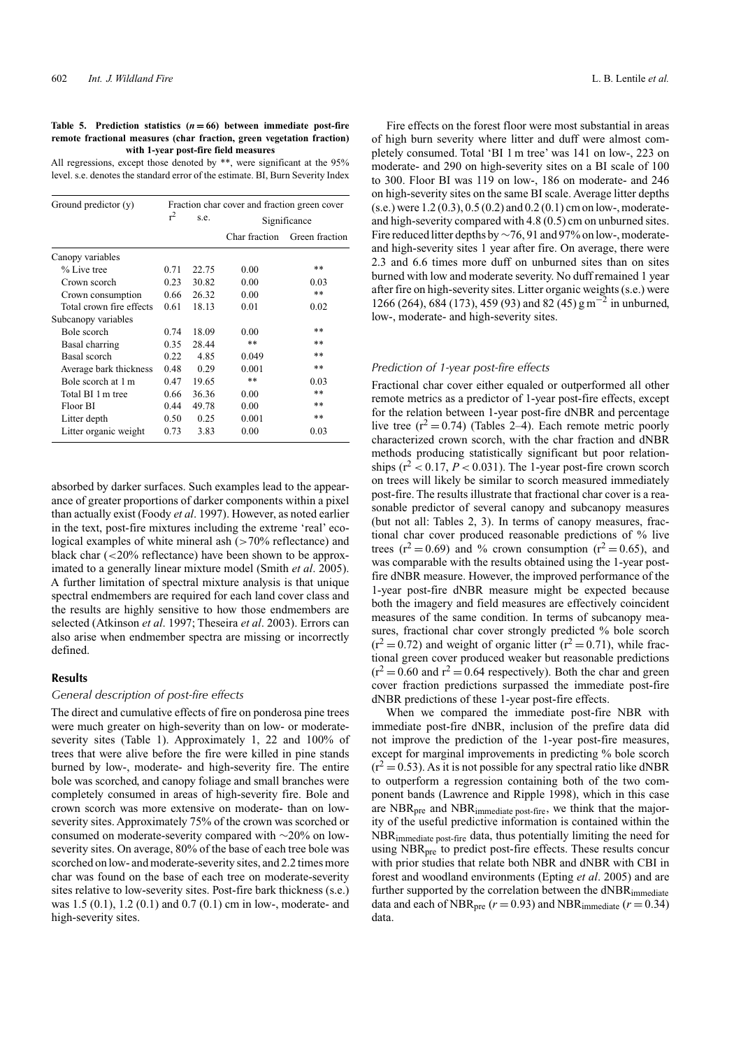**Table 5. Prediction statistics (***n* **= 66) between immediate post-fire remote fractional measures (char fraction, green vegetation fraction) with 1-year post-fire field measures**

All regressions, except those denoted by \*\*, were significant at the 95% level. s.e. denotes the standard error of the estimate. BI, Burn Severity Index

| Ground predictor $(y)$   | Fraction char cover and fraction green cover |       |               |                |  |
|--------------------------|----------------------------------------------|-------|---------------|----------------|--|
|                          | $r^2$<br>s.e.                                |       | Significance  |                |  |
|                          |                                              |       | Char fraction | Green fraction |  |
| Canopy variables         |                                              |       |               |                |  |
| % Live tree              | 0.71                                         | 22.75 | 0.00          | **             |  |
| Crown scorch             | 0.23                                         | 30.82 | 0.00          | 0.03           |  |
| Crown consumption        | 0.66                                         | 26.32 | 0.00          | **             |  |
| Total crown fire effects | 0.61                                         | 18.13 | 0.01          | 0.02           |  |
| Subcanopy variables      |                                              |       |               |                |  |
| Bole scorch              | 0.74                                         | 18.09 | 0.00          | $**$           |  |
| Basal charring           | 0.35                                         | 28.44 | **            | **             |  |
| Basal scorch             | 0.22                                         | 4.85  | 0.049         | **             |  |
| Average bark thickness   | 0.48                                         | 0.29  | 0.001         | **             |  |
| Bole scorch at 1 m       | 0.47                                         | 19.65 | **            | 0.03           |  |
| Total BI 1 m tree        | 0.66                                         | 36.36 | 0.00          | **             |  |
| Floor BI                 | 0.44                                         | 49.78 | 0.00          | **             |  |
| Litter depth             | 0.50                                         | 0.25  | 0.001         | **             |  |
| Litter organic weight    | 0.73                                         | 3.83  | 0.00          | 0.03           |  |

absorbed by darker surfaces. Such examples lead to the appearance of greater proportions of darker components within a pixel than actually exist (Foody *et al*. 1997). However, as noted earlier in the text, post-fire mixtures including the extreme 'real' ecological examples of white mineral ash (*>*70% reflectance) and black char (*<*20% reflectance) have been shown to be approximated to a generally linear mixture model (Smith *et al*. 2005). A further limitation of spectral mixture analysis is that unique spectral endmembers are required for each land cover class and the results are highly sensitive to how those endmembers are selected (Atkinson *et al*. 1997; Theseira *et al*. 2003). Errors can also arise when endmember spectra are missing or incorrectly defined.

# **Results**

# *General description of post-fire effects*

The direct and cumulative effects of fire on ponderosa pine trees were much greater on high-severity than on low- or moderateseverity sites (Table 1). Approximately 1, 22 and 100% of trees that were alive before the fire were killed in pine stands burned by low-, moderate- and high-severity fire. The entire bole was scorched, and canopy foliage and small branches were completely consumed in areas of high-severity fire. Bole and crown scorch was more extensive on moderate- than on lowseverity sites. Approximately 75% of the crown was scorched or consumed on moderate-severity compared with ∼20% on lowseverity sites. On average, 80% of the base of each tree bole was scorched on low- and moderate-severity sites, and 2.2 times more char was found on the base of each tree on moderate-severity sites relative to low-severity sites. Post-fire bark thickness (s.e.) was 1.5 (0.1), 1.2 (0.1) and 0.7 (0.1) cm in low-, moderate- and high-severity sites.

Fire effects on the forest floor were most substantial in areas of high burn severity where litter and duff were almost completely consumed. Total 'BI 1 m tree' was 141 on low-, 223 on moderate- and 290 on high-severity sites on a BI scale of 100 to 300. Floor BI was 119 on low-, 186 on moderate- and 246 on high-severity sites on the same BI scale. Average litter depths  $(s.e.)$  were  $1.2 (0.3), 0.5 (0.2)$  and  $0.2 (0.1)$  cm on low-, moderateand high-severity compared with 4.8 (0.5) cm on unburned sites. Fire reduced litter depths by∼76, 91 and 97% on low-, moderateand high-severity sites 1 year after fire. On average, there were 2.3 and 6.6 times more duff on unburned sites than on sites burned with low and moderate severity. No duff remained 1 year after fire on high-severity sites. Litter organic weights (s.e.) were 1266 (264), 684 (173), 459 (93) and 82 (45) g m−<sup>2</sup> in unburned, low-, moderate- and high-severity sites.

#### *Prediction of 1-year post-fire effects*

Fractional char cover either equaled or outperformed all other remote metrics as a predictor of 1-year post-fire effects, except for the relation between 1-year post-fire dNBR and percentage live tree  $(r^2 = 0.74)$  (Tables 2–4). Each remote metric poorly characterized crown scorch, with the char fraction and dNBR methods producing statistically significant but poor relationships  $(r^2 < 0.17, P < 0.031)$ . The 1-year post-fire crown scorch on trees will likely be similar to scorch measured immediately post-fire. The results illustrate that fractional char cover is a reasonable predictor of several canopy and subcanopy measures (but not all: Tables 2, 3). In terms of canopy measures, fractional char cover produced reasonable predictions of % live trees  $(r^2 = 0.69)$  and % crown consumption  $(r^2 = 0.65)$ , and was comparable with the results obtained using the 1-year postfire dNBR measure. However, the improved performance of the 1-year post-fire dNBR measure might be expected because both the imagery and field measures are effectively coincident measures of the same condition. In terms of subcanopy measures, fractional char cover strongly predicted % bole scorch  $(r^2 = 0.72)$  and weight of organic litter  $(r^2 = 0.71)$ , while fractional green cover produced weaker but reasonable predictions  $(r^2 = 0.60$  and  $r^2 = 0.64$  respectively). Both the char and green cover fraction predictions surpassed the immediate post-fire dNBR predictions of these 1-year post-fire effects.

When we compared the immediate post-fire NBR with immediate post-fire dNBR, inclusion of the prefire data did not improve the prediction of the 1-year post-fire measures, except for marginal improvements in predicting % bole scorch  $(r^2 = 0.53)$ . As it is not possible for any spectral ratio like dNBR to outperform a regression containing both of the two component bands (Lawrence and Ripple 1998), which in this case are NBR<sub>pre</sub> and NBR<sub>immediate post-fire, we think that the major-</sub> ity of the useful predictive information is contained within the NBRimmediate post-fire data, thus potentially limiting the need for using NBR<sub>pre</sub> to predict post-fire effects. These results concur with prior studies that relate both NBR and dNBR with CBI in forest and woodland environments (Epting *et al*. 2005) and are further supported by the correlation between the dNBRimmediate data and each of NBR<sub>pre</sub>  $(r = 0.93)$  and NBR<sub>immediate</sub>  $(r = 0.34)$ data.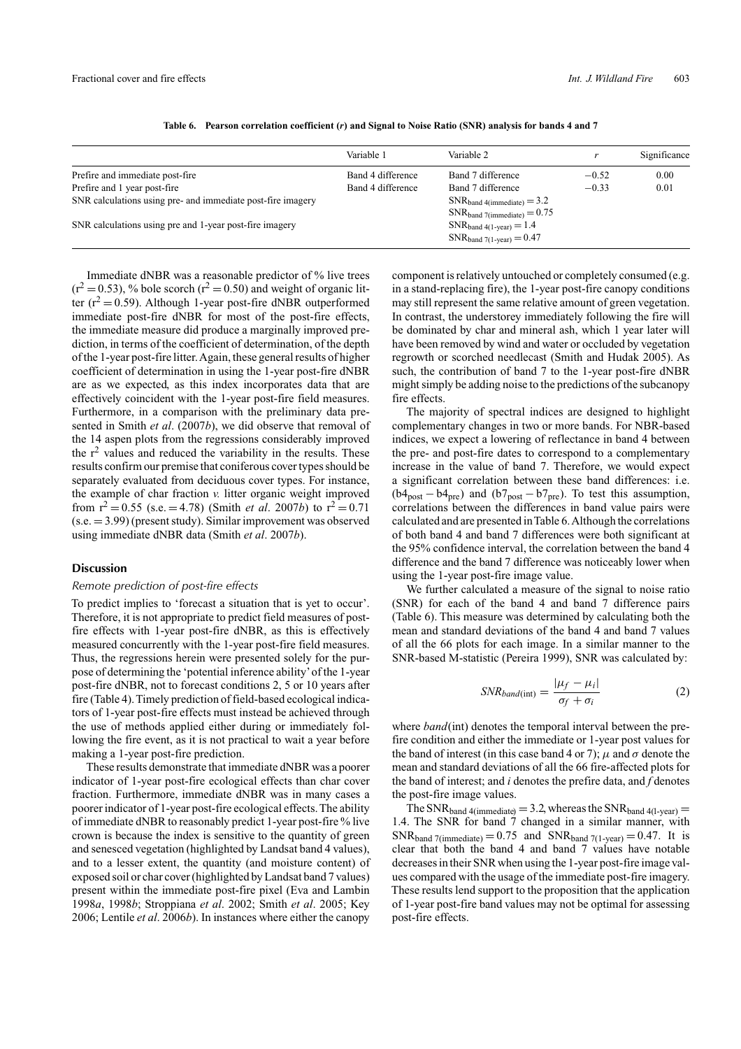|                                                             | Variable 1        | Variable 2                                                              |         | Significance |
|-------------------------------------------------------------|-------------------|-------------------------------------------------------------------------|---------|--------------|
| Prefire and immediate post-fire                             | Band 4 difference | Band 7 difference                                                       | $-0.52$ | 0.00         |
| Prefire and 1 year post-fire                                | Band 4 difference | Band 7 difference                                                       | $-0.33$ | 0.01         |
| SNR calculations using pre- and immediate post-fire imagery |                   | $SNR_{band 4(immediate)} = 3.2$<br>$SNR_{band 7 (immediate)} = 0.75$    |         |              |
| SNR calculations using pre and 1-year post-fire imagery     |                   | $SNR_{band\ 4(1-year)} = 1.4$<br>SNR <sub>band 7(1-year)</sub> = $0.47$ |         |              |

**Table 6. Pearson correlation coefficient (***r***) and Signal to Noise Ratio (SNR) analysis for bands 4 and 7**

Immediate dNBR was a reasonable predictor of % live trees  $(r^2 = 0.53)$ , % bole scorch  $(r^2 = 0.50)$  and weight of organic litter ( $r^2$  = 0.59). Although 1-year post-fire dNBR outperformed immediate post-fire dNBR for most of the post-fire effects, the immediate measure did produce a marginally improved prediction, in terms of the coefficient of determination, of the depth of the 1-year post-fire litter.Again, these general results of higher coefficient of determination in using the 1-year post-fire dNBR are as we expected, as this index incorporates data that are effectively coincident with the 1-year post-fire field measures. Furthermore, in a comparison with the preliminary data presented in Smith *et al*. (2007*b*), we did observe that removal of the 14 aspen plots from the regressions considerably improved the  $r<sup>2</sup>$  values and reduced the variability in the results. These results confirm our premise that coniferous cover types should be separately evaluated from deciduous cover types. For instance, the example of char fraction *v.* litter organic weight improved from  $r^2 = 0.55$  (s.e. = 4.78) (Smith *et al.* 2007*b*) to  $r^2 = 0.71$  $(s.e. = 3.99)$  (present study). Similar improvement was observed using immediate dNBR data (Smith *et al*. 2007*b*).

#### **Discussion**

### *Remote prediction of post-fire effects*

To predict implies to 'forecast a situation that is yet to occur'. Therefore, it is not appropriate to predict field measures of postfire effects with 1-year post-fire dNBR, as this is effectively measured concurrently with the 1-year post-fire field measures. Thus, the regressions herein were presented solely for the purpose of determining the 'potential inference ability'of the 1-year post-fire dNBR, not to forecast conditions 2, 5 or 10 years after fire (Table 4).Timely prediction of field-based ecological indicators of 1-year post-fire effects must instead be achieved through the use of methods applied either during or immediately following the fire event, as it is not practical to wait a year before making a 1-year post-fire prediction.

These results demonstrate that immediate dNBR was a poorer indicator of 1-year post-fire ecological effects than char cover fraction. Furthermore, immediate dNBR was in many cases a poorer indicator of 1-year post-fire ecological effects.The ability of immediate dNBR to reasonably predict 1-year post-fire % live crown is because the index is sensitive to the quantity of green and senesced vegetation (highlighted by Landsat band 4 values), and to a lesser extent, the quantity (and moisture content) of exposed soil or char cover (highlighted by Landsat band 7 values) present within the immediate post-fire pixel (Eva and Lambin 1998*a*, 1998*b*; Stroppiana *et al*. 2002; Smith *et al*. 2005; Key 2006; Lentile *et al*. 2006*b*). In instances where either the canopy

component is relatively untouched or completely consumed (e.g. in a stand-replacing fire), the 1-year post-fire canopy conditions may still represent the same relative amount of green vegetation. In contrast, the understorey immediately following the fire will be dominated by char and mineral ash, which 1 year later will have been removed by wind and water or occluded by vegetation regrowth or scorched needlecast (Smith and Hudak 2005). As such, the contribution of band 7 to the 1-year post-fire dNBR might simply be adding noise to the predictions of the subcanopy fire effects.

The majority of spectral indices are designed to highlight complementary changes in two or more bands. For NBR-based indices, we expect a lowering of reflectance in band 4 between the pre- and post-fire dates to correspond to a complementary increase in the value of band 7. Therefore, we would expect a significant correlation between these band differences: i.e.  $(b4_{post} - b4_{pre})$  and  $(b7_{post} - b7_{pre})$ . To test this assumption, correlations between the differences in band value pairs were calculated and are presented inTable 6.Although the correlations of both band 4 and band 7 differences were both significant at the 95% confidence interval, the correlation between the band 4 difference and the band 7 difference was noticeably lower when using the 1-year post-fire image value.

We further calculated a measure of the signal to noise ratio (SNR) for each of the band 4 and band 7 difference pairs (Table 6). This measure was determined by calculating both the mean and standard deviations of the band 4 and band 7 values of all the 66 plots for each image. In a similar manner to the SNR-based M-statistic (Pereira 1999), SNR was calculated by:

$$
SNR_{band(int)} = \frac{|\mu_f - \mu_i|}{\sigma_f + \sigma_i}
$$
 (2)

where *band*(int) denotes the temporal interval between the prefire condition and either the immediate or 1-year post values for the band of interest (in this case band 4 or 7);  $\mu$  and  $\sigma$  denote the mean and standard deviations of all the 66 fire-affected plots for the band of interest; and *i* denotes the prefire data, and *f* denotes the post-fire image values.

The SNR<sub>band</sub>  $_{4(mmediate)} = 3.2$ , whereas the SNR<sub>band</sub>  $_{4(1-year)} =$ 1.4. The SNR for band 7 changed in a similar manner, with SNR<sub>band 7(immediate)</sub> =  $0.75$  and SNR<sub>band 7(1-year)</sub> = 0.47. It is clear that both the band 4 and band 7 values have notable decreases in their SNR when using the 1-year post-fire image values compared with the usage of the immediate post-fire imagery. These results lend support to the proposition that the application of 1-year post-fire band values may not be optimal for assessing post-fire effects.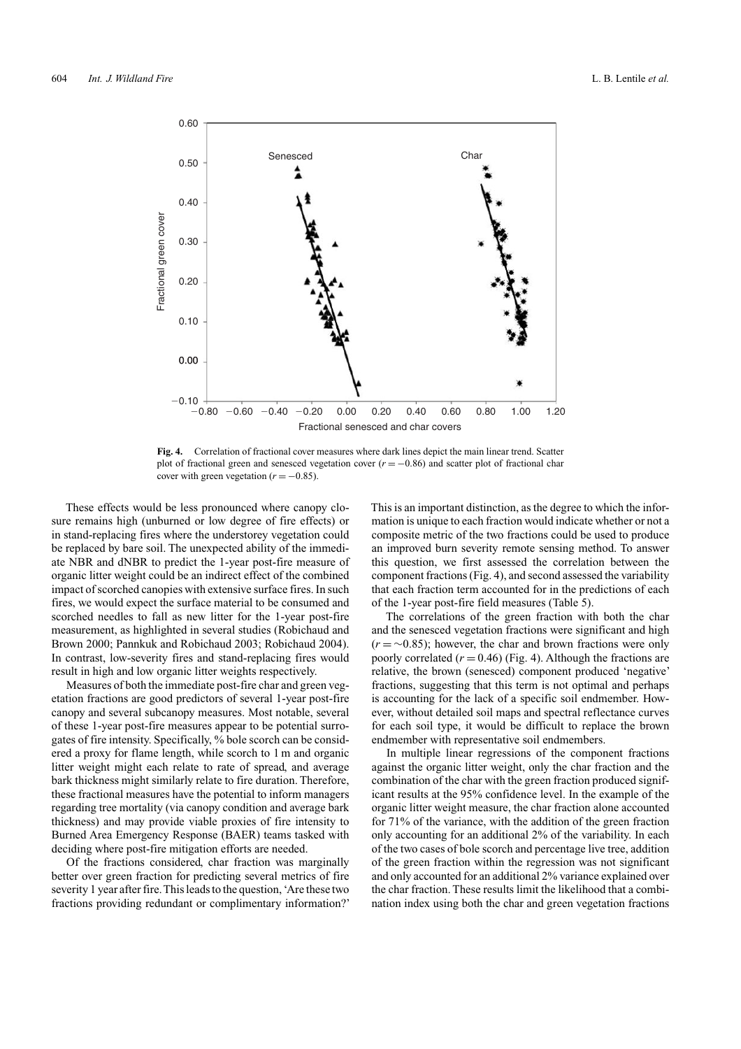

**Fig. 4.** Correlation of fractional cover measures where dark lines depict the main linear trend. Scatter plot of fractional green and senesced vegetation cover  $(r = -0.86)$  and scatter plot of fractional char cover with green vegetation  $(r = -0.85)$ .

These effects would be less pronounced where canopy closure remains high (unburned or low degree of fire effects) or in stand-replacing fires where the understorey vegetation could be replaced by bare soil. The unexpected ability of the immediate NBR and dNBR to predict the 1-year post-fire measure of organic litter weight could be an indirect effect of the combined impact of scorched canopies with extensive surface fires. In such fires, we would expect the surface material to be consumed and scorched needles to fall as new litter for the 1-year post-fire measurement, as highlighted in several studies (Robichaud and Brown 2000; Pannkuk and Robichaud 2003; Robichaud 2004). In contrast, low-severity fires and stand-replacing fires would result in high and low organic litter weights respectively.

Measures of both the immediate post-fire char and green vegetation fractions are good predictors of several 1-year post-fire canopy and several subcanopy measures. Most notable, several of these 1-year post-fire measures appear to be potential surrogates of fire intensity. Specifically, % bole scorch can be considered a proxy for flame length, while scorch to 1 m and organic litter weight might each relate to rate of spread, and average bark thickness might similarly relate to fire duration. Therefore, these fractional measures have the potential to inform managers regarding tree mortality (via canopy condition and average bark thickness) and may provide viable proxies of fire intensity to Burned Area Emergency Response (BAER) teams tasked with deciding where post-fire mitigation efforts are needed.

Of the fractions considered, char fraction was marginally better over green fraction for predicting several metrics of fire severity 1 year after fire.This leads to the question, 'Are these two fractions providing redundant or complimentary information?' This is an important distinction, as the degree to which the information is unique to each fraction would indicate whether or not a composite metric of the two fractions could be used to produce an improved burn severity remote sensing method. To answer this question, we first assessed the correlation between the component fractions (Fig. 4), and second assessed the variability that each fraction term accounted for in the predictions of each of the 1-year post-fire field measures (Table 5).

The correlations of the green fraction with both the char and the senesced vegetation fractions were significant and high (*r* = ∼0.85); however, the char and brown fractions were only poorly correlated  $(r = 0.46)$  (Fig. 4). Although the fractions are relative, the brown (senesced) component produced 'negative' fractions, suggesting that this term is not optimal and perhaps is accounting for the lack of a specific soil endmember. However, without detailed soil maps and spectral reflectance curves for each soil type, it would be difficult to replace the brown endmember with representative soil endmembers.

In multiple linear regressions of the component fractions against the organic litter weight, only the char fraction and the combination of the char with the green fraction produced significant results at the 95% confidence level. In the example of the organic litter weight measure, the char fraction alone accounted for 71% of the variance, with the addition of the green fraction only accounting for an additional 2% of the variability. In each of the two cases of bole scorch and percentage live tree, addition of the green fraction within the regression was not significant and only accounted for an additional 2% variance explained over the char fraction. These results limit the likelihood that a combination index using both the char and green vegetation fractions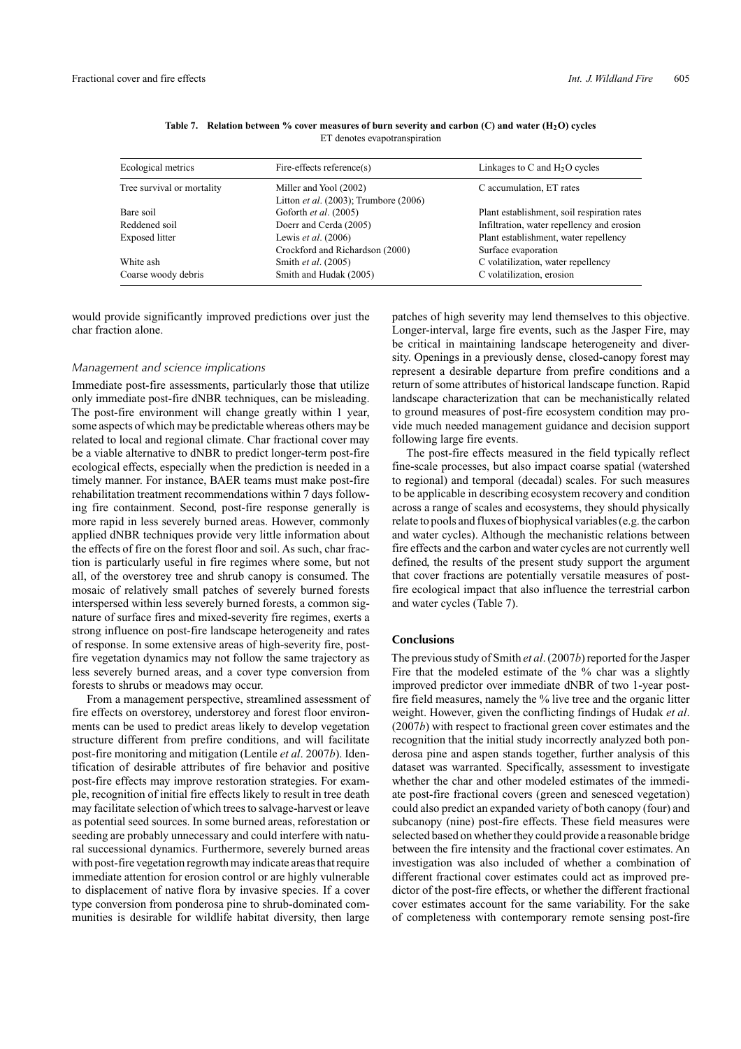| Ecological metrics         | Fire-effects reference(s)             | Linkages to C and $H_2O$ cycles             |
|----------------------------|---------------------------------------|---------------------------------------------|
|                            |                                       |                                             |
| Tree survival or mortality | Miller and Yool (2002)                | C accumulation, ET rates                    |
|                            | Litton et al. (2003); Trumbore (2006) |                                             |
| Bare soil                  | Goforth et al. (2005)                 | Plant establishment, soil respiration rates |
| Reddened soil              | Doerr and Cerda (2005)                | Infiltration, water repellency and erosion  |
| <b>Exposed</b> litter      | Lewis et al. $(2006)$                 | Plant establishment, water repellency       |
|                            | Crockford and Richardson (2000)       | Surface evaporation                         |
| White ash                  | Smith et al. (2005)                   | C volatilization, water repellency          |
| Coarse woody debris        | Smith and Hudak (2005)                | C volatilization, erosion                   |

Table 7. Relation between % cover measures of burn severity and carbon (C) and water (H<sub>2</sub>O) cycles ET denotes evapotranspiration

would provide significantly improved predictions over just the char fraction alone.

### *Management and science implications*

Immediate post-fire assessments, particularly those that utilize only immediate post-fire dNBR techniques, can be misleading. The post-fire environment will change greatly within 1 year, some aspects of which may be predictable whereas others may be related to local and regional climate. Char fractional cover may be a viable alternative to dNBR to predict longer-term post-fire ecological effects, especially when the prediction is needed in a timely manner. For instance, BAER teams must make post-fire rehabilitation treatment recommendations within 7 days following fire containment. Second, post-fire response generally is more rapid in less severely burned areas. However, commonly applied dNBR techniques provide very little information about the effects of fire on the forest floor and soil. As such, char fraction is particularly useful in fire regimes where some, but not all, of the overstorey tree and shrub canopy is consumed. The mosaic of relatively small patches of severely burned forests interspersed within less severely burned forests, a common signature of surface fires and mixed-severity fire regimes, exerts a strong influence on post-fire landscape heterogeneity and rates of response. In some extensive areas of high-severity fire, postfire vegetation dynamics may not follow the same trajectory as less severely burned areas, and a cover type conversion from forests to shrubs or meadows may occur.

From a management perspective, streamlined assessment of fire effects on overstorey, understorey and forest floor environments can be used to predict areas likely to develop vegetation structure different from prefire conditions, and will facilitate post-fire monitoring and mitigation (Lentile *et al*. 2007*b*). Identification of desirable attributes of fire behavior and positive post-fire effects may improve restoration strategies. For example, recognition of initial fire effects likely to result in tree death may facilitate selection of which trees to salvage-harvest or leave as potential seed sources. In some burned areas, reforestation or seeding are probably unnecessary and could interfere with natural successional dynamics. Furthermore, severely burned areas with post-fire vegetation regrowth may indicate areas that require immediate attention for erosion control or are highly vulnerable to displacement of native flora by invasive species. If a cover type conversion from ponderosa pine to shrub-dominated communities is desirable for wildlife habitat diversity, then large patches of high severity may lend themselves to this objective. Longer-interval, large fire events, such as the Jasper Fire, may be critical in maintaining landscape heterogeneity and diversity. Openings in a previously dense, closed-canopy forest may represent a desirable departure from prefire conditions and a return of some attributes of historical landscape function. Rapid landscape characterization that can be mechanistically related to ground measures of post-fire ecosystem condition may provide much needed management guidance and decision support following large fire events.

The post-fire effects measured in the field typically reflect fine-scale processes, but also impact coarse spatial (watershed to regional) and temporal (decadal) scales. For such measures to be applicable in describing ecosystem recovery and condition across a range of scales and ecosystems, they should physically relate to pools and fluxes of biophysical variables (e.g. the carbon and water cycles). Although the mechanistic relations between fire effects and the carbon and water cycles are not currently well defined, the results of the present study support the argument that cover fractions are potentially versatile measures of postfire ecological impact that also influence the terrestrial carbon and water cycles (Table 7).

### **Conclusions**

The previous study of Smith *et al*. (2007*b*) reported for the Jasper Fire that the modeled estimate of the % char was a slightly improved predictor over immediate dNBR of two 1-year postfire field measures, namely the % live tree and the organic litter weight. However, given the conflicting findings of Hudak *et al*. (2007*b*) with respect to fractional green cover estimates and the recognition that the initial study incorrectly analyzed both ponderosa pine and aspen stands together, further analysis of this dataset was warranted. Specifically, assessment to investigate whether the char and other modeled estimates of the immediate post-fire fractional covers (green and senesced vegetation) could also predict an expanded variety of both canopy (four) and subcanopy (nine) post-fire effects. These field measures were selected based on whether they could provide a reasonable bridge between the fire intensity and the fractional cover estimates. An investigation was also included of whether a combination of different fractional cover estimates could act as improved predictor of the post-fire effects, or whether the different fractional cover estimates account for the same variability. For the sake of completeness with contemporary remote sensing post-fire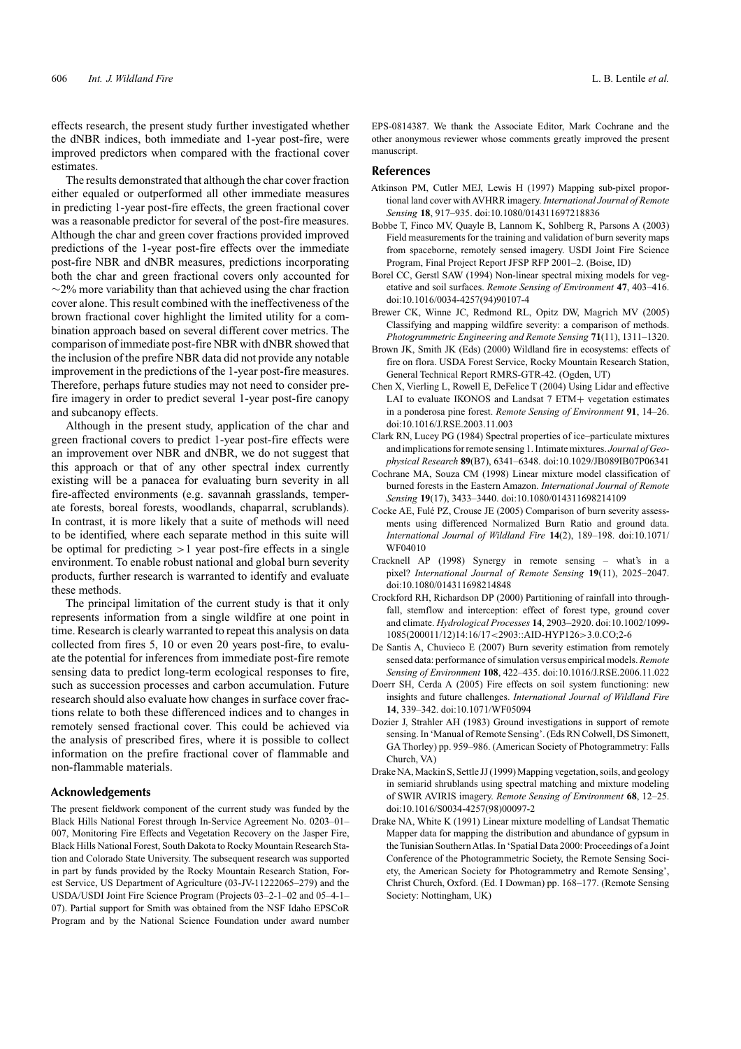effects research, the present study further investigated whether the dNBR indices, both immediate and 1-year post-fire, were improved predictors when compared with the fractional cover estimates.

The results demonstrated that although the char cover fraction either equaled or outperformed all other immediate measures in predicting 1-year post-fire effects, the green fractional cover was a reasonable predictor for several of the post-fire measures. Although the char and green cover fractions provided improved predictions of the 1-year post-fire effects over the immediate post-fire NBR and dNBR measures, predictions incorporating both the char and green fractional covers only accounted for ∼2% more variability than that achieved using the char fraction cover alone. This result combined with the ineffectiveness of the brown fractional cover highlight the limited utility for a combination approach based on several different cover metrics. The comparison of immediate post-fire NBR with dNBR showed that the inclusion of the prefire NBR data did not provide any notable improvement in the predictions of the 1-year post-fire measures. Therefore, perhaps future studies may not need to consider prefire imagery in order to predict several 1-year post-fire canopy and subcanopy effects.

Although in the present study, application of the char and green fractional covers to predict 1-year post-fire effects were an improvement over NBR and dNBR, we do not suggest that this approach or that of any other spectral index currently existing will be a panacea for evaluating burn severity in all fire-affected environments (e.g. savannah grasslands, temperate forests, boreal forests, woodlands, chaparral, scrublands). In contrast, it is more likely that a suite of methods will need to be identified, where each separate method in this suite will be optimal for predicting *>*1 year post-fire effects in a single environment. To enable robust national and global burn severity products, further research is warranted to identify and evaluate these methods.

The principal limitation of the current study is that it only represents information from a single wildfire at one point in time. Research is clearly warranted to repeat this analysis on data collected from fires 5, 10 or even 20 years post-fire, to evaluate the potential for inferences from immediate post-fire remote sensing data to predict long-term ecological responses to fire, such as succession processes and carbon accumulation. Future research should also evaluate how changes in surface cover fractions relate to both these differenced indices and to changes in remotely sensed fractional cover. This could be achieved via the analysis of prescribed fires, where it is possible to collect information on the prefire fractional cover of flammable and non-flammable materials.

### **Acknowledgements**

The present fieldwork component of the current study was funded by the Black Hills National Forest through In-Service Agreement No. 0203–01– 007, Monitoring Fire Effects and Vegetation Recovery on the Jasper Fire, Black Hills National Forest, South Dakota to Rocky Mountain Research Station and Colorado State University. The subsequent research was supported in part by funds provided by the Rocky Mountain Research Station, Forest Service, US Department of Agriculture (03-JV-11222065–279) and the USDA/USDI Joint Fire Science Program (Projects 03–2-1–02 and 05–4-1– 07). Partial support for Smith was obtained from the NSF Idaho EPSCoR Program and by the National Science Foundation under award number

EPS-0814387. We thank the Associate Editor, Mark Cochrane and the other anonymous reviewer whose comments greatly improved the present manuscript.

#### **References**

- Atkinson PM, Cutler MEJ, Lewis H (1997) Mapping sub-pixel proportional land cover with AVHRR imagery. *International Journal of Remote Sensing* **18**, 917–935. doi:10.1080/014311697218836
- Bobbe T, Finco MV, Quayle B, Lannom K, Sohlberg R, Parsons A (2003) Field measurements for the training and validation of burn severity maps from spaceborne, remotely sensed imagery. USDI Joint Fire Science Program, Final Project Report JFSP RFP 2001–2. (Boise, ID)
- Borel CC, Gerstl SAW (1994) Non-linear spectral mixing models for vegetative and soil surfaces. *Remote Sensing of Environment* **47**, 403–416. doi:10.1016/0034-4257(94)90107-4
- Brewer CK, Winne JC, Redmond RL, Opitz DW, Magrich MV (2005) Classifying and mapping wildfire severity: a comparison of methods. *Photogrammetric Engineering and Remote Sensing* **71**(11), 1311–1320.
- Brown JK, Smith JK (Eds) (2000) Wildland fire in ecosystems: effects of fire on flora. USDA Forest Service, Rocky Mountain Research Station, General Technical Report RMRS-GTR-42. (Ogden, UT)
- Chen X, Vierling L, Rowell E, DeFelice T (2004) Using Lidar and effective LAI to evaluate IKONOS and Landsat 7 ETM+ vegetation estimates in a ponderosa pine forest. *Remote Sensing of Environment* **91**, 14–26. doi:10.1016/J.RSE.2003.11.003
- Clark RN, Lucey PG (1984) Spectral properties of ice–particulate mixtures and implications for remote sensing 1. Intimate mixtures. *Journal of Geophysical Research* **89**(B7), 6341–6348. doi:10.1029/JB089IB07P06341
- Cochrane MA, Souza CM (1998) Linear mixture model classification of burned forests in the Eastern Amazon. *International Journal of Remote Sensing* **19**(17), 3433–3440. doi:10.1080/014311698214109
- Cocke AE, Fulé PZ, Crouse JE (2005) Comparison of burn severity assessments using differenced Normalized Burn Ratio and ground data. *International Journal of Wildland Fire* **14**(2), 189–198. doi:10.1071/ WF04010
- Cracknell AP (1998) Synergy in remote sensing what's in a pixel? *International Journal of Remote Sensing* **19**(11), 2025–2047. doi:10.1080/014311698214848
- Crockford RH, Richardson DP (2000) Partitioning of rainfall into throughfall, stemflow and interception: effect of forest type, ground cover and climate. *Hydrological Processes* **14**, 2903–2920. doi:10.1002/1099- 1085(200011/12)14:16/17*<*2903::AID-HYP126*>*3.0.CO;2-6
- De Santis A, Chuvieco E (2007) Burn severity estimation from remotely sensed data: performance of simulation versus empirical models. *Remote Sensing of Environment* **108**, 422–435. doi:10.1016/J.RSE.2006.11.022
- Doerr SH, Cerda A (2005) Fire effects on soil system functioning: new insights and future challenges. *International Journal of Wildland Fire* **14**, 339–342. doi:10.1071/WF05094
- Dozier J, Strahler AH (1983) Ground investigations in support of remote sensing. In 'Manual of Remote Sensing'. (Eds RN Colwell, DS Simonett, GA Thorley) pp. 959–986. (American Society of Photogrammetry: Falls Church, VA)
- Drake NA, Mackin S, Settle JJ (1999) Mapping vegetation, soils, and geology in semiarid shrublands using spectral matching and mixture modeling of SWIR AVIRIS imagery. *Remote Sensing of Environment* **68**, 12–25. doi:10.1016/S0034-4257(98)00097-2
- Drake NA, White K (1991) Linear mixture modelling of Landsat Thematic Mapper data for mapping the distribution and abundance of gypsum in theTunisian SouthernAtlas. In 'Spatial Data 2000: Proceedings of a Joint Conference of the Photogrammetric Society, the Remote Sensing Society, the American Society for Photogrammetry and Remote Sensing', Christ Church, Oxford. (Ed. I Dowman) pp. 168–177. (Remote Sensing Society: Nottingham, UK)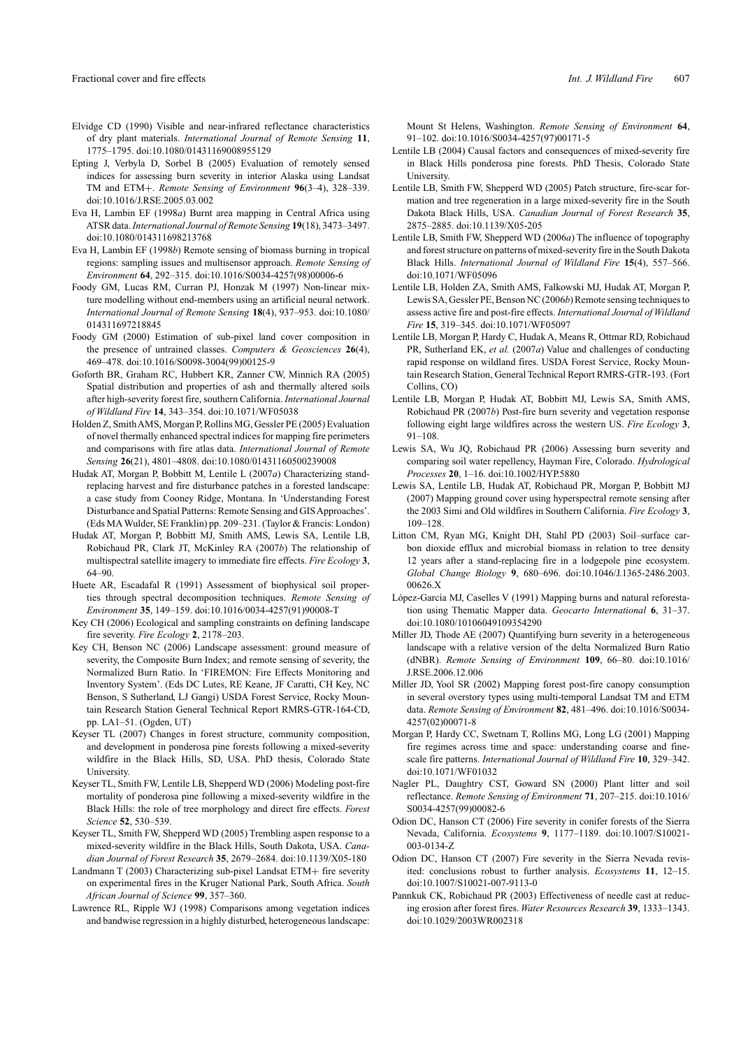- Elvidge CD (1990) Visible and near-infrared reflectance characteristics of dry plant materials. *International Journal of Remote Sensing* **11**, 1775–1795. doi:10.1080/01431169008955129
- Epting J, Verbyla D, Sorbel B (2005) Evaluation of remotely sensed indices for assessing burn severity in interior Alaska using Landsat TM and ETM+. *Remote Sensing of Environment* **96**(3–4), 328–339. doi:10.1016/J.RSE.2005.03.002
- Eva H, Lambin EF (1998*a*) Burnt area mapping in Central Africa using ATSR data.*International Journal of Remote Sensing* **19**(18), 3473–3497. doi:10.1080/014311698213768
- Eva H, Lambin EF (1998*b*) Remote sensing of biomass burning in tropical regions: sampling issues and multisensor approach. *Remote Sensing of Environment* **64**, 292–315. doi:10.1016/S0034-4257(98)00006-6
- Foody GM, Lucas RM, Curran PJ, Honzak M (1997) Non-linear mixture modelling without end-members using an artificial neural network. *International Journal of Remote Sensing* **18**(4), 937–953. doi:10.1080/ 014311697218845
- Foody GM (2000) Estimation of sub-pixel land cover composition in the presence of untrained classes. *Computers & Geosciences* **26**(4), 469–478. doi:10.1016/S0098-3004(99)00125-9
- Goforth BR, Graham RC, Hubbert KR, Zanner CW, Minnich RA (2005) Spatial distribution and properties of ash and thermally altered soils after high-severity forest fire, southern California. *International Journal of Wildland Fire* **14**, 343–354. doi:10.1071/WF05038
- Holden Z, SmithAMS, Morgan P, Rollins MG, Gessler PE (2005) Evaluation of novel thermally enhanced spectral indices for mapping fire perimeters and comparisons with fire atlas data. *International Journal of Remote Sensing* **26**(21), 4801–4808. doi:10.1080/01431160500239008
- Hudak AT, Morgan P, Bobbitt M, Lentile L (2007*a*) Characterizing standreplacing harvest and fire disturbance patches in a forested landscape: a case study from Cooney Ridge, Montana. In 'Understanding Forest Disturbance and Spatial Patterns: Remote Sensing and GISApproaches'. (Eds MA Wulder, SE Franklin) pp. 209–231. (Taylor & Francis: London)
- Hudak AT, Morgan P, Bobbitt MJ, Smith AMS, Lewis SA, Lentile LB, Robichaud PR, Clark JT, McKinley RA (2007*b*) The relationship of multispectral satellite imagery to immediate fire effects. *Fire Ecology* **3**, 64–90.
- Huete AR, Escadafal R (1991) Assessment of biophysical soil properties through spectral decomposition techniques. *Remote Sensing of Environment* **35**, 149–159. doi:10.1016/0034-4257(91)90008-T
- Key CH (2006) Ecological and sampling constraints on defining landscape fire severity. *Fire Ecology* **2**, 2178–203.
- Key CH, Benson NC (2006) Landscape assessment: ground measure of severity, the Composite Burn Index; and remote sensing of severity, the Normalized Burn Ratio. In 'FIREMON: Fire Effects Monitoring and Inventory System'. (Eds DC Lutes, RE Keane, JF Caratti, CH Key, NC Benson, S Sutherland, LJ Gangi) USDA Forest Service, Rocky Mountain Research Station General Technical Report RMRS-GTR-164-CD, pp. LA1–51. (Ogden, UT)
- Keyser TL (2007) Changes in forest structure, community composition, and development in ponderosa pine forests following a mixed-severity wildfire in the Black Hills, SD, USA. PhD thesis, Colorado State University.
- Keyser TL, Smith FW, Lentile LB, Shepperd WD (2006) Modeling post-fire mortality of ponderosa pine following a mixed-severity wildfire in the Black Hills: the role of tree morphology and direct fire effects. *Forest Science* **52**, 530–539.
- Keyser TL, Smith FW, Shepperd WD (2005) Trembling aspen response to a mixed-severity wildfire in the Black Hills, South Dakota, USA. *Canadian Journal of Forest Research* **35**, 2679–2684. doi:10.1139/X05-180
- Landmann T (2003) Characterizing sub-pixel Landsat ETM+ fire severity on experimental fires in the Kruger National Park, South Africa. *South African Journal of Science* **99**, 357–360.
- Lawrence RL, Ripple WJ (1998) Comparisons among vegetation indices and bandwise regression in a highly disturbed, heterogeneous landscape:

Mount St Helens, Washington. *Remote Sensing of Environment* **64**, 91–102. doi:10.1016/S0034-4257(97)00171-5

- Lentile LB (2004) Causal factors and consequences of mixed-severity fire in Black Hills ponderosa pine forests. PhD Thesis, Colorado State University.
- Lentile LB, Smith FW, Shepperd WD (2005) Patch structure, fire-scar formation and tree regeneration in a large mixed-severity fire in the South Dakota Black Hills, USA. *Canadian Journal of Forest Research* **35**, 2875–2885. doi:10.1139/X05-205
- Lentile LB, Smith FW, Shepperd WD (2006*a*) The influence of topography and forest structure on patterns of mixed-severity fire in the South Dakota Black Hills. *International Journal of Wildland Fire* **15**(4), 557–566. doi:10.1071/WF05096
- Lentile LB, Holden ZA, Smith AMS, Falkowski MJ, Hudak AT, Morgan P, Lewis SA, Gessler PE, Benson NC (2006*b*) Remote sensing techniques to assess active fire and post-fire effects. *International Journal of Wildland Fire* **15**, 319–345. doi:10.1071/WF05097
- Lentile LB, Morgan P, Hardy C, Hudak A, Means R, Ottmar RD, Robichaud PR, Sutherland EK, *et al.* (2007*a*) Value and challenges of conducting rapid response on wildland fires. USDA Forest Service, Rocky Mountain Research Station, General Technical Report RMRS-GTR-193. (Fort Collins, CO)
- Lentile LB, Morgan P, Hudak AT, Bobbitt MJ, Lewis SA, Smith AMS, Robichaud PR (2007*b*) Post-fire burn severity and vegetation response following eight large wildfires across the western US. *Fire Ecology* **3**, 91–108.
- Lewis SA, Wu JQ, Robichaud PR (2006) Assessing burn severity and comparing soil water repellency, Hayman Fire, Colorado. *Hydrological Processes* **20**, 1–16. doi:10.1002/HYP.5880
- Lewis SA, Lentile LB, Hudak AT, Robichaud PR, Morgan P, Bobbitt MJ (2007) Mapping ground cover using hyperspectral remote sensing after the 2003 Simi and Old wildfires in Southern California. *Fire Ecology* **3**, 109–128.
- Litton CM, Ryan MG, Knight DH, Stahl PD (2003) Soil–surface carbon dioxide efflux and microbial biomass in relation to tree density 12 years after a stand-replacing fire in a lodgepole pine ecosystem. *Global Change Biology* **9**, 680–696. doi:10.1046/J.1365-2486.2003. 00626.X
- López-García MJ, Caselles V (1991) Mapping burns and natural reforestation using Thematic Mapper data. *Geocarto International* **6**, 31–37. doi:10.1080/10106049109354290
- Miller JD, Thode AE (2007) Quantifying burn severity in a heterogeneous landscape with a relative version of the delta Normalized Burn Ratio (dNBR). *Remote Sensing of Environment* **109**, 66–80. doi:10.1016/ J.RSE.2006.12.006
- Miller JD, Yool SR (2002) Mapping forest post-fire canopy consumption in several overstory types using multi-temporal Landsat TM and ETM data. *Remote Sensing of Environment* **82**, 481–496. doi:10.1016/S0034- 4257(02)00071-8
- Morgan P, Hardy CC, Swetnam T, Rollins MG, Long LG (2001) Mapping fire regimes across time and space: understanding coarse and finescale fire patterns. *International Journal of Wildland Fire* **10**, 329–342. doi:10.1071/WF01032
- Nagler PL, Daughtry CST, Goward SN (2000) Plant litter and soil reflectance. *Remote Sensing of Environment* **71**, 207–215. doi:10.1016/ S0034-4257(99)00082-6
- Odion DC, Hanson CT (2006) Fire severity in conifer forests of the Sierra Nevada, California. *Ecosystems* **9**, 1177–1189. doi:10.1007/S10021- 003-0134-Z
- Odion DC, Hanson CT (2007) Fire severity in the Sierra Nevada revisited: conclusions robust to further analysis. *Ecosystems* **11**, 12–15. doi:10.1007/S10021-007-9113-0
- Pannkuk CK, Robichaud PR (2003) Effectiveness of needle cast at reducing erosion after forest fires. *Water Resources Research* **39**, 1333–1343. doi:10.1029/2003WR002318